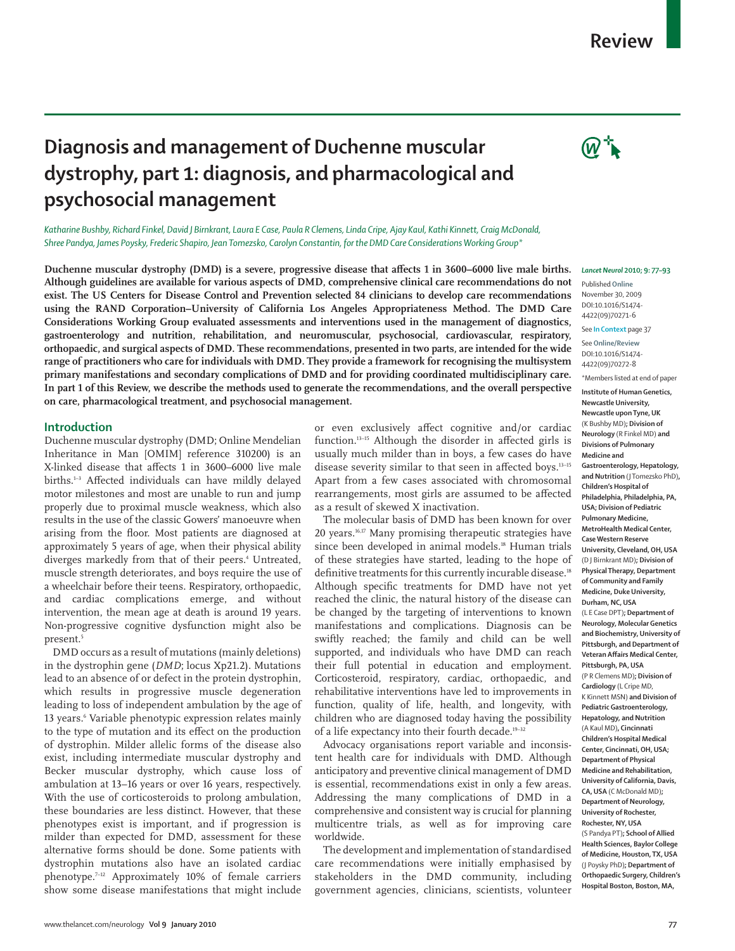# **Review**

# **Diagnosis and management of Duchenne muscular dystrophy, part 1: diagnosis, and pharmacological and psychosocial management**

*Katharine Bushby, Richard Finkel, David J Birnkrant, Laura E Case, Paula R Clemens, Linda Cripe, Ajay Kaul, Kathi Kinnett, Craig McDonald, Shree Pandya, James Poysky, Frederic Shapiro, Jean Tomezsko, Carolyn Constantin, for the DMD Care Considerations Working Group\**

Duchenne muscular dystrophy (DMD) is a severe, progressive disease that affects 1 in 3600–6000 live male births. **Although guidelines are available for various aspects of DMD, comprehensive clinical care recommendations do not exist. The US Centers for Disease Control and Prevention selected 84 clinicians to develop care recommendations using the RAND Corporation–University of California Los Angeles Appropriateness Method. The DMD Care Considerations Working Group evaluated assessments and interventions used in the management of diagnostics, gastroenterology and nutrition, rehabilitation, and neuromuscular, psychosocial, cardiovascular, respiratory, orthopaedic, and surgical aspects of DMD. These recommendations, presented in two parts, are intended for the wide range of practitioners who care for individuals with DMD. They provide a framework for recognising the multisystem primary manifestations and secondary complications of DMD and for providing coordinated multidisciplinary care. In part 1 of this Review, we describe the methods used to generate the recommendations, and the overall perspective on care, pharmacological treatment, and psychosocial management.**

# **Introduction**

Duchenne muscular dystrophy (DMD; Online Mendelian Inheritance in Man [OMIM] reference 310200) is an X-linked disease that affects 1 in 3600-6000 live male births.<sup>1-3</sup> Affected individuals can have mildly delayed motor milestones and most are unable to run and jump properly due to proximal muscle weakness, which also results in the use of the classic Gowers' manoeuvre when arising from the floor. Most patients are diagnosed at approximately 5 years of age, when their physical ability diverges markedly from that of their peers.<sup>4</sup> Untreated, muscle strength deteriorates, and boys require the use of a wheelchair before their teens. Respiratory, orthopaedic, and cardiac complications emerge, and without intervention, the mean age at death is around 19 years. Non-progressive cognitive dysfunction might also be present.<sup>5</sup>

DMD occurs as a result of mutations (mainly deletions) in the dystrophin gene (*DMD*; locus Xp21.2). Mutations lead to an absence of or defect in the protein dystrophin, which results in progressive muscle degeneration leading to loss of independent ambulation by the age of 13 years.6 Variable phenotypic expression relates mainly to the type of mutation and its effect on the production of dystrophin. Milder allelic forms of the disease also exist, including intermediate muscular dystrophy and Becker muscular dystrophy, which cause loss of ambulation at 13–16 years or over 16 years, respectively. With the use of corticosteroids to prolong ambulation, these boundaries are less distinct. However, that these phenotypes exist is important, and if progression is milder than expected for DMD, assessment for these alternative forms should be done. Some patients with dystrophin mutations also have an isolated cardiac phenotype.<sup>7-12</sup> Approximately 10% of female carriers show some disease manifestations that might include

or even exclusively affect cognitive and/or cardiac function.<sup>13-15</sup> Although the disorder in affected girls is usually much milder than in boys, a few cases do have disease severity similar to that seen in affected boys.<sup>13-15</sup> Apart from a few cases associated with chromosomal rearrangements, most girls are assumed to be affected as a result of skewed X inactivation.

The molecular basis of DMD has been known for over 20 years.16,17 Many promising therapeutic strategies have since been developed in animal models.<sup>18</sup> Human trials of these strategies have started, leading to the hope of definitive treatments for this currently incurable disease.<sup>18</sup> Although specific treatments for DMD have not yet reached the clinic, the natural history of the disease can be changed by the targeting of interventions to known manifestations and complications. Diagnosis can be swiftly reached; the family and child can be well supported, and individuals who have DMD can reach their full potential in education and employment. Corticosteroid, respiratory, cardiac, orthopaedic, and rehabilitative interventions have led to improvements in function, quality of life, health, and longevity, with children who are diagnosed today having the possibility of a life expectancy into their fourth decade.<sup>19-32</sup>

Advocacy organisations report variable and inconsistent health care for individuals with DMD. Although anticipatory and preventive clinical management of DMD is essential, recommendations exist in only a few areas. Addressing the many complications of DMD in a comprehensive and consistent way is crucial for planning multicentre trials, as well as for improving care worldwide.

The development and implementation of standardised care recommendations were initially emphasised by stakeholders in the DMD community, including government agencies, clinicians, scientists, volunteer



#### *Lancet Neurol* **2010; 9: 77–93**

Published **Online** November 30, 2009 DOI:10.1016/S1474- 4422(09)70271-6

See **In Context** page 37 See **Online/Review**

DOI:10.1016/S1474- 4422(09)70272-8

\*Members listed at end of paper

**Institute of Human Genetics, Newcastle University, Newcastle upon Tyne, UK** (K Bushby MD)**; Division of Neurology** (R Finkel MD) **and Divisions of Pulmonary Medicine and Gastroenterology, Hepatology, and Nutrition** (J Tomezsko PhD)**, Children's Hospital of Philadelphia, Philadelphia, PA, USA; Division of Pediatric Pulmonary Medicine, MetroHealth Medical Center, Case Western Reserve University, Cleveland, OH, USA**  (D J Birnkrant MD)**; Division of Physical Therapy, Department of Community and Family Medicine, Duke University, Durham, NC, USA**  (L E Case DPT)**; Department of Neurology, Molecular Genetics and Biochemistry, University of Pittsburgh, and Department of Veteran Affairs Medical Center. Pittsburgh, PA, USA** (P R Clemens MD)**; Division of Cardiology** (L Cripe MD, K Kinnett MSN) **and Division of Pediatric Gastroenterology, Hepatology, and Nutrition** (A Kaul MD)**, Cincinnati Children's Hospital Medical Center, Cincinnati, OH, USA; Department of Physical Medicine and Rehabilitation, University of California, Davis, CA, USA** (C McDonald MD)**; Department of Neurology, University of Rochester, Rochester, NY, USA** (S Pandya PT)**; School of Allied Health Sciences, Baylor College of Medicine, Houston, TX, USA**  (J Poysky PhD)**; Department of Orthopaedic Surgery, Children's Hospital Boston, Boston, MA,**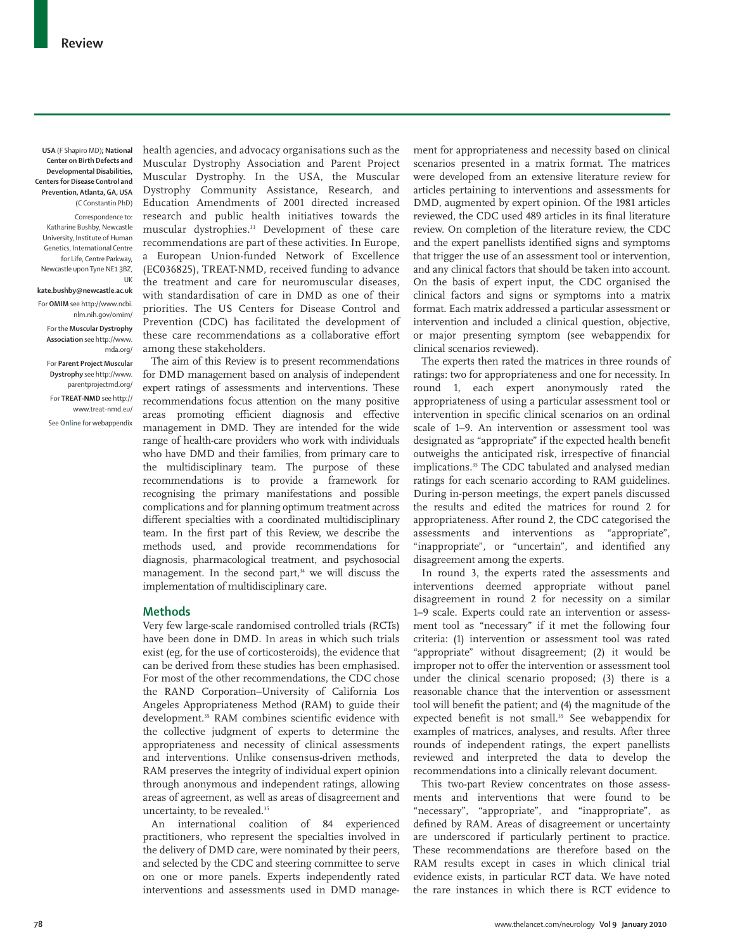**USA** (F Shapiro MD)**; National Center on Birth Defects and Developmental Disabilities, Centers for Disease Control and Prevention, Atlanta, GA, USA** (C Constantin PhD)

Correspondence to: Katharine Bushby, Newcastle University, Institute of Human Genetics, International Centre for Life, Centre Parkway, Newcastle upon Tyne NE1 3BZ, UK

**kate.bushby@newcastle.ac.uk**

For **OMIM** see http://www.ncbi. nlm.nih.gov/omim/

For the **Muscular Dystrophy Association** see http://www. mda.org/

For **Parent Project Muscular Dystrophy** see http://www. parentprojectmd.org/ For **TREAT-NMD** see http:// www.treat-nmd.eu/

See **Online** for webappendix

health agencies, and advocacy organisations such as the Muscular Dystrophy Association and Parent Project Muscular Dystrophy. In the USA, the Muscular Dystrophy Community Assistance, Research, and Education Amendments of 2001 directed increased research and public health initiatives towards the muscular dystrophies.<sup>33</sup> Development of these care recommendations are part of these activities. In Europe, a European Union-funded Network of Excellence (EC036825), TREAT-NMD, received funding to advance the treatment and care for neuromuscular diseases, with standardisation of care in DMD as one of their priorities. The US Centers for Disease Control and Prevention (CDC) has facilitated the development of these care recommendations as a collaborative effort among these stakeholders.

The aim of this Review is to present recommendations for DMD management based on analysis of independent expert ratings of assessments and interventions. These recommendations focus attention on the many positive areas promoting efficient diagnosis and effective management in DMD. They are intended for the wide range of health-care providers who work with individuals who have DMD and their families, from primary care to the multidisciplinary team. The purpose of these recommendations is to provide a framework for recognising the primary manifestations and possible complications and for planning optimum treatment across different specialties with a coordinated multidisciplinary team. In the first part of this Review, we describe the methods used, and provide recommendations for diagnosis, pharmacological treatment, and psychosocial management. In the second part,<sup>34</sup> we will discuss the implementation of multidisciplinary care.

# **Methods**

Very few large-scale randomised controlled trials (RCTs) have been done in DMD. In areas in which such trials exist (eg, for the use of corticosteroids), the evidence that can be derived from these studies has been emphasised. For most of the other recommendations, the CDC chose the RAND Corporation–University of California Los Angeles Appropriateness Method (RAM) to guide their development.<sup>35</sup> RAM combines scientific evidence with the collective judgment of experts to determine the appropriateness and necessity of clinical assessments and interventions. Unlike consensus-driven methods, RAM preserves the integrity of individual expert opinion through anonymous and independent ratings, allowing areas of agreement, as well as areas of disagreement and uncertainty, to be revealed.<sup>35</sup>

An international coalition of 84 experienced practitioners, who represent the specialties involved in the delivery of DMD care, were nominated by their peers, and selected by the CDC and steering committee to serve on one or more panels. Experts independently rated interventions and assessments used in DMD manage-

ment for appropriateness and necessity based on clinical scenarios presented in a matrix format. The matrices were developed from an extensive literature review for articles pertaining to interventions and assessments for DMD, augmented by expert opinion. Of the 1981 articles reviewed, the CDC used 489 articles in its final literature review. On completion of the literature review, the CDC and the expert panellists identified signs and symptoms that trigger the use of an assessment tool or intervention, and any clinical factors that should be taken into account. On the basis of expert input, the CDC organised the clinical factors and signs or symptoms into a matrix format. Each matrix addressed a particular assessment or intervention and included a clinical question, objective, or major presenting symptom (see webappendix for clinical scenarios reviewed).

The experts then rated the matrices in three rounds of ratings: two for appropriateness and one for necessity. In round 1, each expert anonymously rated the appropriateness of using a particular assessment tool or intervention in specific clinical scenarios on an ordinal scale of 1–9. An intervention or assessment tool was designated as "appropriate" if the expected health benefit outweighs the anticipated risk, irrespective of financial implications.<sup>35</sup> The CDC tabulated and analysed median ratings for each scenario according to RAM guidelines. During in-person meetings, the expert panels discussed the results and edited the matrices for round 2 for appropriateness. After round 2, the CDC categorised the assessments and interventions as "appropriate", "inappropriate", or "uncertain", and identified any disagreement among the experts.

In round 3, the experts rated the assessments and interventions deemed appropriate without panel disagreement in round 2 for necessity on a similar 1–9 scale. Experts could rate an intervention or assessment tool as "necessary" if it met the following four criteria: (1) intervention or assessment tool was rated "appropriate" without disagreement; (2) it would be improper not to offer the intervention or assessment tool under the clinical scenario proposed; (3) there is a reasonable chance that the intervention or assessment tool will benefit the patient; and (4) the magnitude of the expected benefit is not small.<sup>35</sup> See webappendix for examples of matrices, analyses, and results. After three rounds of independent ratings, the expert panellists reviewed and interpreted the data to develop the recommendations into a clinically relevant document.

This two-part Review concentrates on those assessments and interventions that were found to be "necessary", "appropriate", and "inappropriate", as defined by RAM. Areas of disagreement or uncertainty are underscored if particularly pertinent to practice. These recommendations are therefore based on the RAM results except in cases in which clinical trial evidence exists, in particular RCT data. We have noted the rare instances in which there is RCT evidence to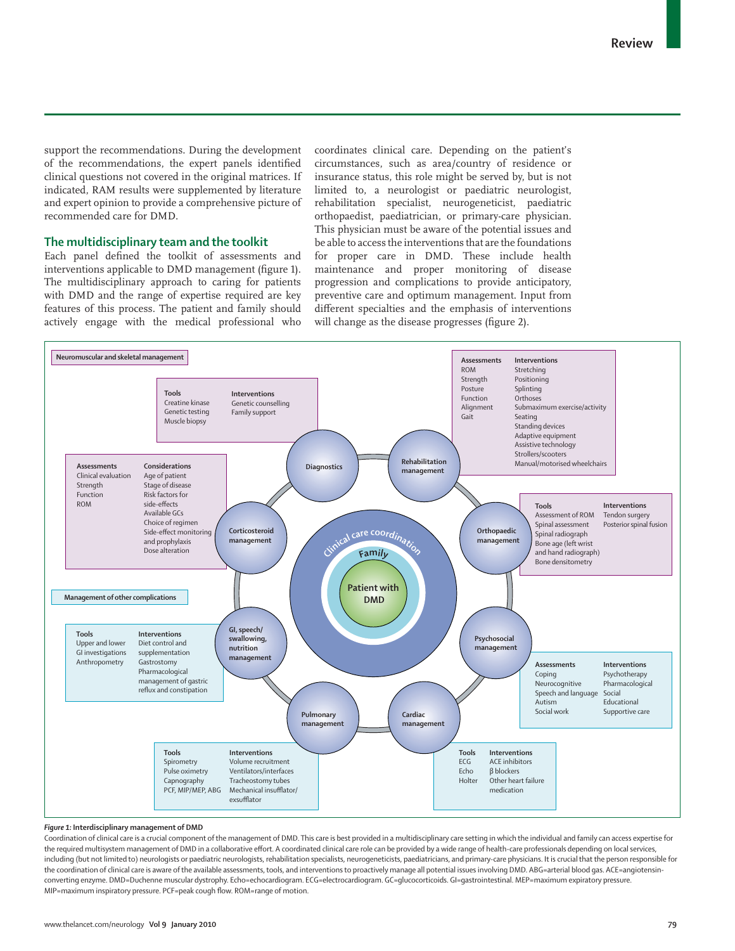support the recommendations. During the development of the recommendations, the expert panels identified clinical questions not covered in the original matrices. If indicated, RAM results were supplemented by literature and expert opinion to provide a comprehensive picture of recommended care for DMD.

# **The multidisciplinary team and the toolkit**

Each panel defined the toolkit of assessments and interventions applicable to DMD management (figure 1). The multidisciplinary approach to caring for patients with DMD and the range of expertise required are key features of this process. The patient and family should actively engage with the medical professional who coordinates clinical care. Depending on the patient's circumstances, such as area/country of residence or insurance status, this role might be served by, but is not limited to, a neurologist or paediatric neurologist, rehabilitation specialist, neurogeneticist, paediatric orthopaedist, paediatrician, or primary-care physician. This physician must be aware of the potential issues and be able to access the interventions that are the foundations for proper care in DMD. These include health maintenance and proper monitoring of disease progression and complications to provide anticipatory, preventive care and optimum management. Input from different specialties and the emphasis of interventions will change as the disease progresses (figure 2).



#### *Figure 1:* **Interdisciplinary management of DMD**

Coordination of clinical care is a crucial component of the management of DMD. This care is best provided in a multidisciplinary care setting in which the individual and family can access expertise for the required multisystem management of DMD in a collaborative effort. A coordinated clinical care role can be provided by a wide range of health-care professionals depending on local services including (but not limited to) neurologists or paediatric neurologists, rehabilitation specialists, neurogeneticists, paediatricians, and primary-care physicians. It is crucial that the person responsible for the coordination of clinical care is aware of the available assessments, tools, and interventions to proactively manage all potential issues involving DMD. ABG=arterial blood gas. ACE=angiotensinconverting enzyme. DMD=Duchenne muscular dystrophy. Echo=echocardiogram. ECG=electrocardiogram. GC=glucocorticoids. GI=qastrointestinal. MEP=maximum expiratory pressure. MIP=maximum inspiratory pressure. PCF=peak cough flow. ROM=range of motion.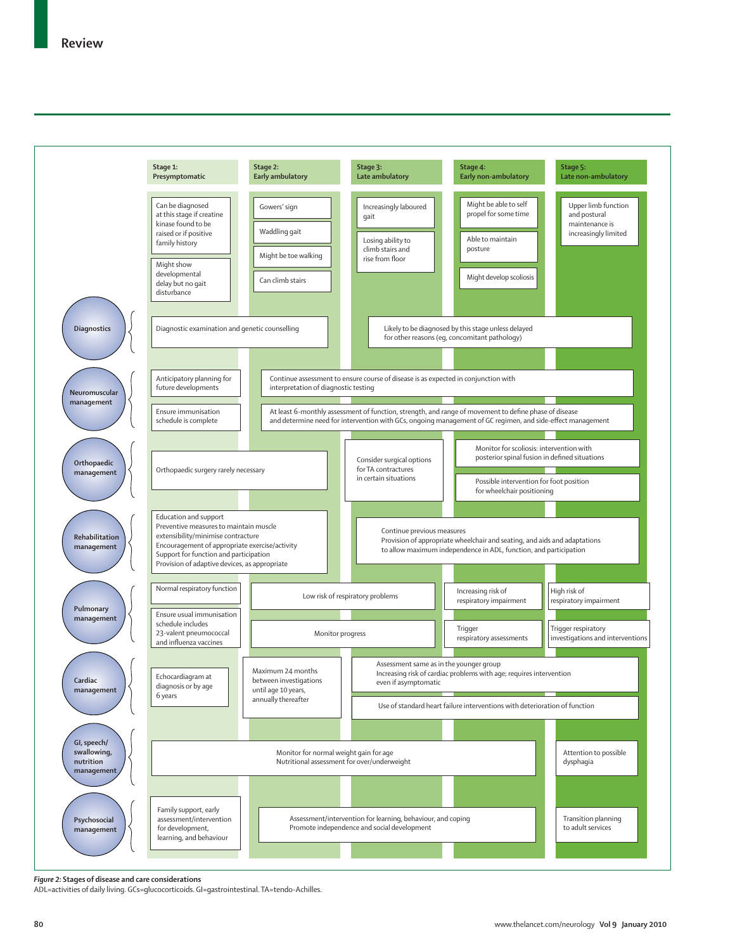

*Figure 2:* **Stages of disease and care considerations**

ADL=activities of daily living. GCs=glucocorticoids. GI=gastrointestinal. TA=tendo-Achilles.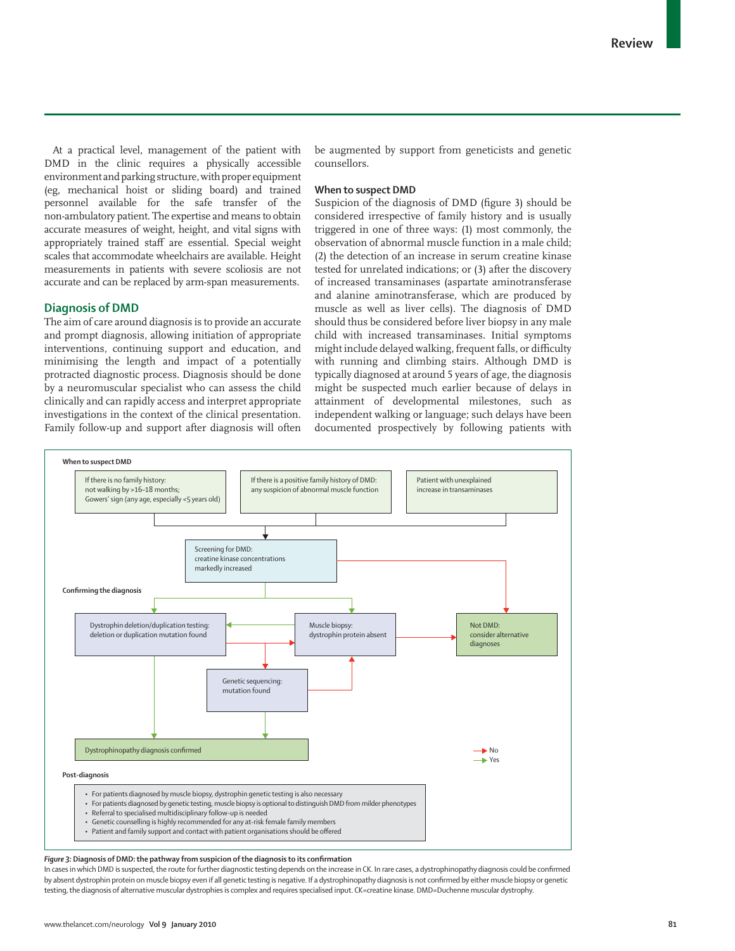At a practical level, management of the patient with DMD in the clinic requires a physically accessible environment and parking structure, with proper equipment (eg, mechanical hoist or sliding board) and trained personnel available for the safe transfer of the non-ambulatory patient. The expertise and means to obtain accurate measures of weight, height, and vital signs with appropriately trained staff are essential. Special weight scales that accommodate wheelchairs are available. Height measurements in patients with severe scoliosis are not accurate and can be replaced by arm-span measurements.

# **Diagnosis of DMD**

The aim of care around diagnosis is to provide an accurate and prompt diagnosis, allowing initiation of appropriate interventions, continuing support and education, and minimising the length and impact of a potentially protracted diagnostic process. Diagnosis should be done by a neuromuscular specialist who can assess the child clinically and can rapidly access and interpret appropriate investigations in the context of the clinical presentation. Family follow-up and support after diagnosis will often be augmented by support from geneticists and genetic counsellors.

# **When to suspect DMD**

Suspicion of the diagnosis of DMD (figure 3) should be considered irrespective of family history and is usually triggered in one of three ways: (1) most commonly, the observation of abnormal muscle function in a male child; (2) the detection of an increase in serum creatine kinase tested for unrelated indications; or (3) after the discovery of increased transaminases (aspartate aminotransferase and alanine aminotransferase, which are produced by muscle as well as liver cells). The diagnosis of DMD should thus be considered before liver biopsy in any male child with increased transaminases. Initial symptoms might include delayed walking, frequent falls, or difficulty with running and climbing stairs. Although DMD is typically diagnosed at around 5 years of age, the diagnosis might be suspected much earlier because of delays in attainment of developmental milestones, such as independent walking or language; such delays have been documented prospectively by following patients with



#### Figure 3: Diagnosis of DMD: the pathway from suspicion of the diagnosis to its confirmation

In cases in which DMD is suspected, the route for further diagnostic testing depends on the increase in CK. In rare cases, a dystrophinopathy diagnosis could be confirmed by absent dystrophin protein on muscle biopsy even if all genetic testing is negative. If a dystrophinopathy diagnosis is not confirmed by either muscle biopsy or genetic testing, the diagnosis of alternative muscular dystrophies is complex and requires specialised input. CK=creatine kinase. DMD=Duchenne muscular dystrophy.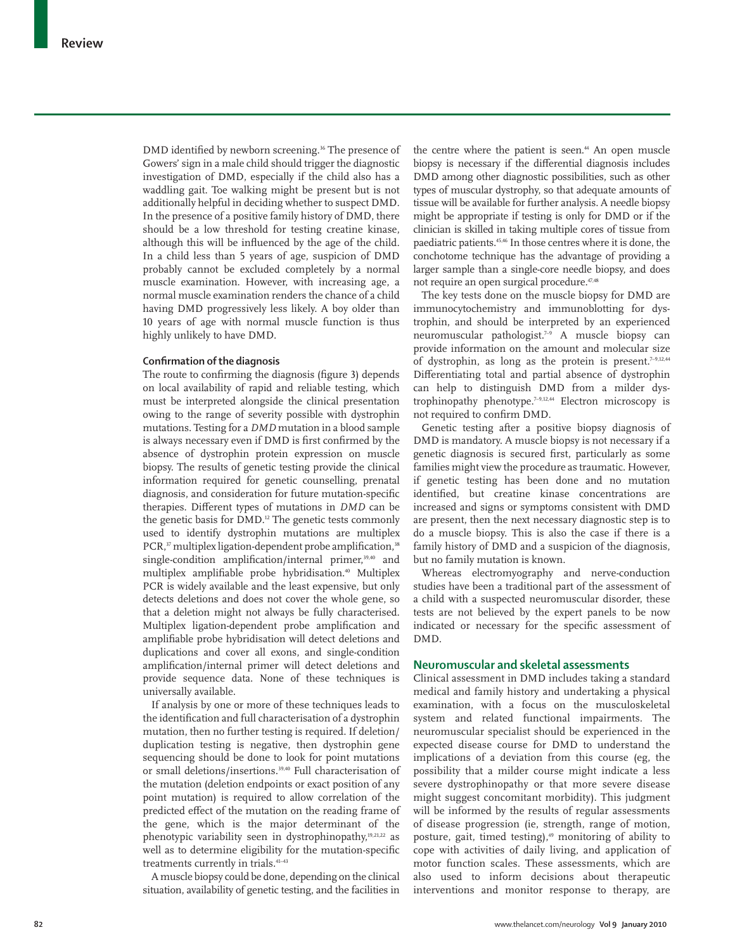DMD identified by newborn screening.<sup>36</sup> The presence of Gowers' sign in a male child should trigger the diagnostic investigation of DMD, especially if the child also has a waddling gait. Toe walking might be present but is not additionally helpful in deciding whether to suspect DMD. In the presence of a positive family history of DMD, there should be a low threshold for testing creatine kinase, although this will be influenced by the age of the child. In a child less than 5 years of age, suspicion of DMD probably cannot be excluded completely by a normal muscle examination. However, with increasing age, a normal muscle examination renders the chance of a child having DMD progressively less likely. A boy older than 10 years of age with normal muscle function is thus highly unlikely to have DMD.

#### **Confi rmation of the diagnosis**

The route to confirming the diagnosis (figure 3) depends on local availability of rapid and reliable testing, which must be interpreted alongside the clinical presentation owing to the range of severity possible with dystrophin mutations. Testing for a *DMD* mutation in a blood sample is always necessary even if DMD is first confirmed by the absence of dystrophin protein expression on muscle biopsy. The results of genetic testing provide the clinical information required for genetic counselling, prenatal diagnosis, and consideration for future mutation-specific therapies. Different types of mutations in *DMD* can be the genetic basis for DMD.<sup>12</sup> The genetic tests commonly used to identify dystrophin mutations are multiplex PCR,<sup>37</sup> multiplex ligation-dependent probe amplification,<sup>38</sup> single-condition amplification/internal primer,<sup>39,40</sup> and multiplex amplifiable probe hybridisation.<sup>40</sup> Multiplex PCR is widely available and the least expensive, but only detects deletions and does not cover the whole gene, so that a deletion might not always be fully characterised. Multiplex ligation-dependent probe amplification and amplifiable probe hybridisation will detect deletions and duplications and cover all exons, and single-condition amplification/internal primer will detect deletions and provide sequence data. None of these techniques is universally available.

If analysis by one or more of these techniques leads to the identification and full characterisation of a dystrophin mutation, then no further testing is required. If deletion/ duplication testing is negative, then dystrophin gene sequencing should be done to look for point mutations or small deletions/insertions.<sup>39,40</sup> Full characterisation of the mutation (deletion endpoints or exact position of any point mutation) is required to allow correlation of the predicted effect of the mutation on the reading frame of the gene, which is the major determinant of the phenotypic variability seen in dystrophinopathy,<sup>19,21,22</sup> as well as to determine eligibility for the mutation-specific treatments currently in trials.<sup>41-43</sup>

A muscle biopsy could be done, depending on the clinical situation, availability of genetic testing, and the facilities in the centre where the patient is seen.<sup>44</sup> An open muscle biopsy is necessary if the differential diagnosis includes DMD among other diagnostic possibilities, such as other types of muscular dystrophy, so that adequate amounts of tissue will be available for further analysis. A needle biopsy might be appropriate if testing is only for DMD or if the clinician is skilled in taking multiple cores of tissue from paediatric patients.45,46 In those centres where it is done, the conchotome technique has the advantage of providing a larger sample than a single-core needle biopsy, and does not require an open surgical procedure.<sup>47,48</sup>

The key tests done on the muscle biopsy for DMD are immunocytochemistry and immunoblotting for dystrophin, and should be interpreted by an experienced neuromuscular pathologist.7–9 A muscle biopsy can provide information on the amount and molecular size of dystrophin, as long as the protein is present.7–9,12,44 Differentiating total and partial absence of dystrophin can help to distinguish DMD from a milder dystrophinopathy phenotype.<sup>7-9,12,44</sup> Electron microscopy is not required to confirm DMD.

Genetic testing after a positive biopsy diagnosis of DMD is mandatory. A muscle biopsy is not necessary if a genetic diagnosis is secured first, particularly as some families might view the procedure as traumatic. However, if genetic testing has been done and no mutation identified, but creatine kinase concentrations are increased and signs or symptoms consistent with DMD are present, then the next necessary diagnostic step is to do a muscle biopsy. This is also the case if there is a family history of DMD and a suspicion of the diagnosis, but no family mutation is known.

Whereas electromyography and nerve-conduction studies have been a traditional part of the assessment of a child with a suspected neuromuscular disorder, these tests are not believed by the expert panels to be now indicated or necessary for the specific assessment of DMD.

# **Neuromuscular and skeletal assessments**

Clinical assessment in DMD includes taking a standard medical and family history and undertaking a physical examination, with a focus on the musculoskeletal system and related functional impairments. The neuromuscular specialist should be experienced in the expected disease course for DMD to understand the implications of a deviation from this course (eg, the possibility that a milder course might indicate a less severe dystrophinopathy or that more severe disease might suggest concomitant morbidity). This judgment will be informed by the results of regular assessments of disease progression (ie, strength, range of motion, posture, gait, timed testing),<sup>49</sup> monitoring of ability to cope with activities of daily living, and application of motor function scales. These assessments, which are also used to inform decisions about therapeutic interventions and monitor response to therapy, are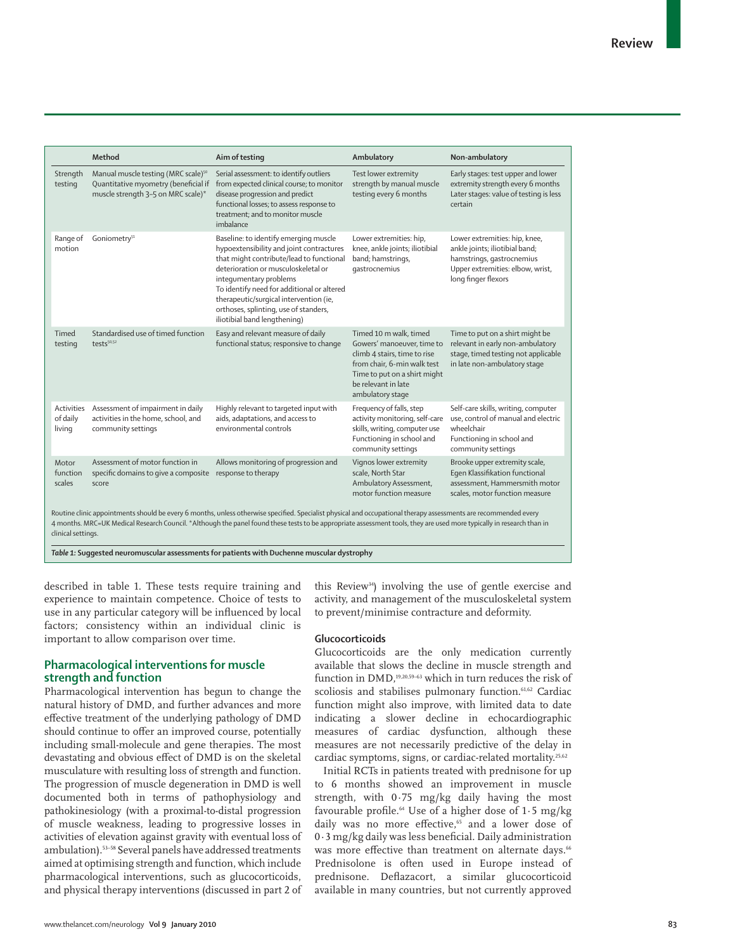|                                                                                                                                                                                                                                                                                                                                                                | Method                                                                                                                        | Aim of testing                                                                                                                                                                                                                                                                                                                                                  | Ambulatory                                                                                                                                                                                     | Non-ambulatory                                                                                                                                          |  |  |  |
|----------------------------------------------------------------------------------------------------------------------------------------------------------------------------------------------------------------------------------------------------------------------------------------------------------------------------------------------------------------|-------------------------------------------------------------------------------------------------------------------------------|-----------------------------------------------------------------------------------------------------------------------------------------------------------------------------------------------------------------------------------------------------------------------------------------------------------------------------------------------------------------|------------------------------------------------------------------------------------------------------------------------------------------------------------------------------------------------|---------------------------------------------------------------------------------------------------------------------------------------------------------|--|--|--|
| Strength<br>testing                                                                                                                                                                                                                                                                                                                                            | Manual muscle testing (MRC scale) <sup>50</sup><br>Quantitative myometry (beneficial if<br>muscle strength 3-5 on MRC scale)* | Serial assessment: to identify outliers<br>from expected clinical course; to monitor<br>disease progression and predict<br>functional losses; to assess response to<br>treatment; and to monitor muscle<br>imbalance                                                                                                                                            | Test lower extremity<br>strength by manual muscle<br>testing every 6 months                                                                                                                    | Early stages: test upper and lower<br>extremity strength every 6 months<br>Later stages: value of testing is less<br>certain                            |  |  |  |
| Range of<br>motion                                                                                                                                                                                                                                                                                                                                             | Goniometry <sup>51</sup>                                                                                                      | Baseline: to identify emerging muscle<br>hypoextensibility and joint contractures<br>that might contribute/lead to functional<br>deterioration or musculoskeletal or<br>intequmentary problems<br>To identify need for additional or altered<br>therapeutic/surgical intervention (ie,<br>orthoses, splinting, use of standers,<br>iliotibial band lengthening) | Lower extremities: hip,<br>knee, ankle joints; iliotibial<br>band; hamstrings,<br>qastrocnemius                                                                                                | Lower extremities: hip, knee,<br>ankle joints; iliotibial band;<br>hamstrings, gastrocnemius<br>Upper extremities: elbow, wrist,<br>long finger flexors |  |  |  |
| Timed<br>testing                                                                                                                                                                                                                                                                                                                                               | Standardised use of timed function<br>tests <sup>50,52</sup>                                                                  | Easy and relevant measure of daily<br>functional status; responsive to change                                                                                                                                                                                                                                                                                   | Timed 10 m walk, timed<br>Gowers' manoeuver, time to<br>climb 4 stairs, time to rise<br>from chair, 6-min walk test<br>Time to put on a shirt might<br>be relevant in late<br>ambulatory stage | Time to put on a shirt might be<br>relevant in early non-ambulatory<br>stage, timed testing not applicable<br>in late non-ambulatory stage              |  |  |  |
| Activities<br>of daily<br>living                                                                                                                                                                                                                                                                                                                               | Assessment of impairment in daily<br>activities in the home, school, and<br>community settings                                | Highly relevant to targeted input with<br>aids, adaptations, and access to<br>environmental controls                                                                                                                                                                                                                                                            | Frequency of falls, step<br>activity monitoring, self-care<br>skills, writing, computer use<br>Functioning in school and<br>community settings                                                 | Self-care skills, writing, computer<br>use, control of manual and electric<br>wheelchair<br>Functioning in school and<br>community settings             |  |  |  |
| Motor<br>function<br>scales                                                                                                                                                                                                                                                                                                                                    | Assessment of motor function in<br>specific domains to give a composite<br>score                                              | Allows monitoring of progression and<br>response to therapy                                                                                                                                                                                                                                                                                                     | Vignos lower extremity<br>scale, North Star<br>Ambulatory Assessment,<br>motor function measure                                                                                                | Brooke upper extremity scale,<br>Egen Klassifikation functional<br>assessment, Hammersmith motor<br>scales, motor function measure                      |  |  |  |
| Routine clinic appointments should be every 6 months, unless otherwise specified. Specialist physical and occupational therapy assessments are recommended every<br>4 months. MRC=UK Medical Research Council. *Although the panel found these tests to be appropriate assessment tools, they are used more typically in research than in<br>clinical settings |                                                                                                                               |                                                                                                                                                                                                                                                                                                                                                                 |                                                                                                                                                                                                |                                                                                                                                                         |  |  |  |

*Table 1:* **Suggested neuromuscular assessments for patients with Duchenne muscular dystrophy**

described in table 1. These tests require training and experience to maintain competence. Choice of tests to use in any particular category will be influenced by local factors; consistency within an individual clinic is important to allow comparison over time.

# **Pharmacological interventions for muscle strength and function**

Pharmacological intervention has begun to change the natural history of DMD, and further advances and more effective treatment of the underlying pathology of DMD should continue to offer an improved course, potentially including small-molecule and gene therapies. The most devastating and obvious effect of DMD is on the skeletal musculature with resulting loss of strength and function. The progression of muscle degeneration in DMD is well documented both in terms of pathophysiology and pathokinesiology (with a proximal-to-distal progression of muscle weakness, leading to progressive losses in activities of elevation against gravity with eventual loss of ambulation).53–58 Several panels have addressed treatments aimed at optimising strength and function, which include pharmacological interventions, such as glucocorticoids, and physical therapy interventions (discussed in part 2 of this Review<sup>34</sup>) involving the use of gentle exercise and activity, and management of the musculoskeletal system to prevent/minimise contracture and deformity.

# **Glucocorticoids**

Glucocorticoids are the only medication currently available that slows the decline in muscle strength and function in DMD,19,20,59–63 which in turn reduces the risk of scoliosis and stabilises pulmonary function.<sup>61,62</sup> Cardiac function might also improve, with limited data to date indicating a slower decline in echocardiographic measures of cardiac dysfunction, although these measures are not necessarily predictive of the delay in cardiac symptoms, signs, or cardiac-related mortality.25,62

Initial RCTs in patients treated with prednisone for up to 6 months showed an improvement in muscle strength, with 0·75 mg/kg daily having the most favourable profile.<sup>64</sup> Use of a higher dose of  $1.5 \text{ mg/kg}$ daily was no more effective,<sup>65</sup> and a lower dose of  $0.3$  mg/kg daily was less beneficial. Daily administration was more effective than treatment on alternate days.<sup>66</sup> Prednisolone is often used in Europe instead of prednisone. Deflazacort, a similar glucocorticoid available in many countries, but not currently approved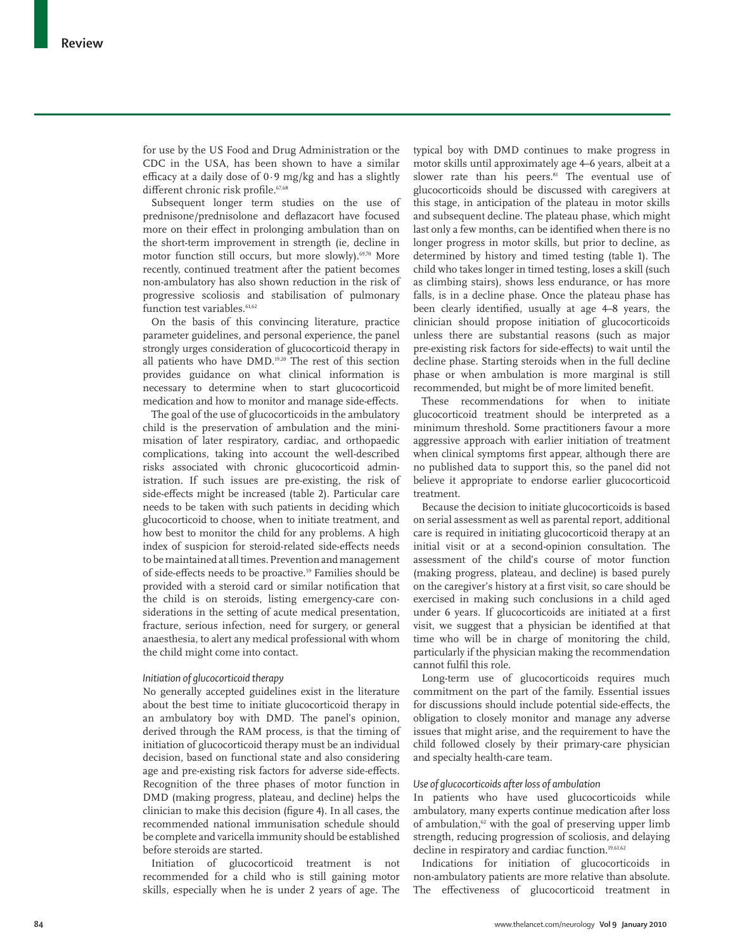for use by the US Food and Drug Administration or the CDC in the USA, has been shown to have a similar efficacy at a daily dose of  $0.9$  mg/kg and has a slightly different chronic risk profile.<sup>67,68</sup>

Subsequent longer term studies on the use of prednisone/prednisolone and deflazacort have focused more on their effect in prolonging ambulation than on the short-term improvement in strength (ie, decline in motor function still occurs, but more slowly).<sup>69,70</sup> More recently, continued treatment after the patient becomes non-ambulatory has also shown reduction in the risk of progressive scoliosis and stabilisation of pulmonary function test variables.<sup>61,62</sup>

On the basis of this convincing literature, practice parameter guidelines, and personal experience, the panel strongly urges consideration of glucocorticoid therapy in all patients who have DMD.19,20 The rest of this section provides guidance on what clinical information is necessary to determine when to start glucocorticoid medication and how to monitor and manage side-effects.

The goal of the use of glucocorticoids in the ambulatory child is the preservation of ambulation and the minimisation of later respiratory, cardiac, and orthopaedic complications, taking into account the well-described risks associated with chronic glucocorticoid administration. If such issues are pre-existing, the risk of side-effects might be increased (table 2). Particular care needs to be taken with such patients in deciding which glucocorticoid to choose, when to initiate treatment, and how best to monitor the child for any problems. A high index of suspicion for steroid-related side-effects needs to be maintained at all times. Prevention and management of side-effects needs to be proactive.<sup>59</sup> Families should be provided with a steroid card or similar notification that the child is on steroids, listing emergency-care considerations in the setting of acute medical presentation, fracture, serious infection, need for surgery, or general anaesthesia, to alert any medical professional with whom the child might come into contact.

## *Initiation of glucocorticoid therapy*

No generally accepted guidelines exist in the literature about the best time to initiate glucocorticoid therapy in an ambulatory boy with DMD. The panel's opinion, derived through the RAM process, is that the timing of initiation of glucocorticoid therapy must be an individual decision, based on functional state and also considering age and pre-existing risk factors for adverse side-effects. Recognition of the three phases of motor function in DMD (making progress, plateau, and decline) helps the clinician to make this decision (figure 4). In all cases, the recommended national immunisation schedule should be complete and varicella immunity should be established before steroids are started.

Initiation of glucocorticoid treatment is not recommended for a child who is still gaining motor skills, especially when he is under 2 years of age. The

typical boy with DMD continues to make progress in motor skills until approximately age 4–6 years, albeit at a slower rate than his peers.<sup>81</sup> The eventual use of glucocorticoids should be discussed with caregivers at this stage, in anticipation of the plateau in motor skills and subsequent decline. The plateau phase, which might last only a few months, can be identified when there is no longer progress in motor skills, but prior to decline, as determined by history and timed testing (table 1). The child who takes longer in timed testing, loses a skill (such as climbing stairs), shows less endurance, or has more falls, is in a decline phase. Once the plateau phase has been clearly identified, usually at age 4-8 years, the clinician should propose initiation of glucocorticoids unless there are substantial reasons (such as major pre-existing risk factors for side-effects) to wait until the decline phase. Starting steroids when in the full decline phase or when ambulation is more marginal is still recommended, but might be of more limited benefit.

These recommendations for when to initiate glucocorticoid treatment should be interpreted as a minimum threshold. Some practitioners favour a more aggressive approach with earlier initiation of treatment when clinical symptoms first appear, although there are no published data to support this, so the panel did not believe it appropriate to endorse earlier glucocorticoid treatment.

Because the decision to initiate glucocorticoids is based on serial assessment as well as parental report, additional care is required in initiating glucocorticoid therapy at an initial visit or at a second-opinion consultation. The assessment of the child's course of motor function (making progress, plateau, and decline) is based purely on the caregiver's history at a first visit, so care should be exercised in making such conclusions in a child aged under 6 years. If glucocorticoids are initiated at a first visit, we suggest that a physician be identified at that time who will be in charge of monitoring the child, particularly if the physician making the recommendation cannot fulfil this role.

Long-term use of glucocorticoids requires much commitment on the part of the family. Essential issues for discussions should include potential side-effects, the obligation to closely monitor and manage any adverse issues that might arise, and the requirement to have the child followed closely by their primary-care physician and specialty health-care team.

# *Use of glucocorticoids after loss of ambulation*

In patients who have used glucocorticoids while ambulatory, many experts continue medication after loss of ambulation, $62$  with the goal of preserving upper limb strength, reducing progression of scoliosis, and delaying decline in respiratory and cardiac function.<sup>19,61,62</sup>

Indications for initiation of glucocorticoids in non-ambulatory patients are more relative than absolute. The effectiveness of glucocorticoid treatment in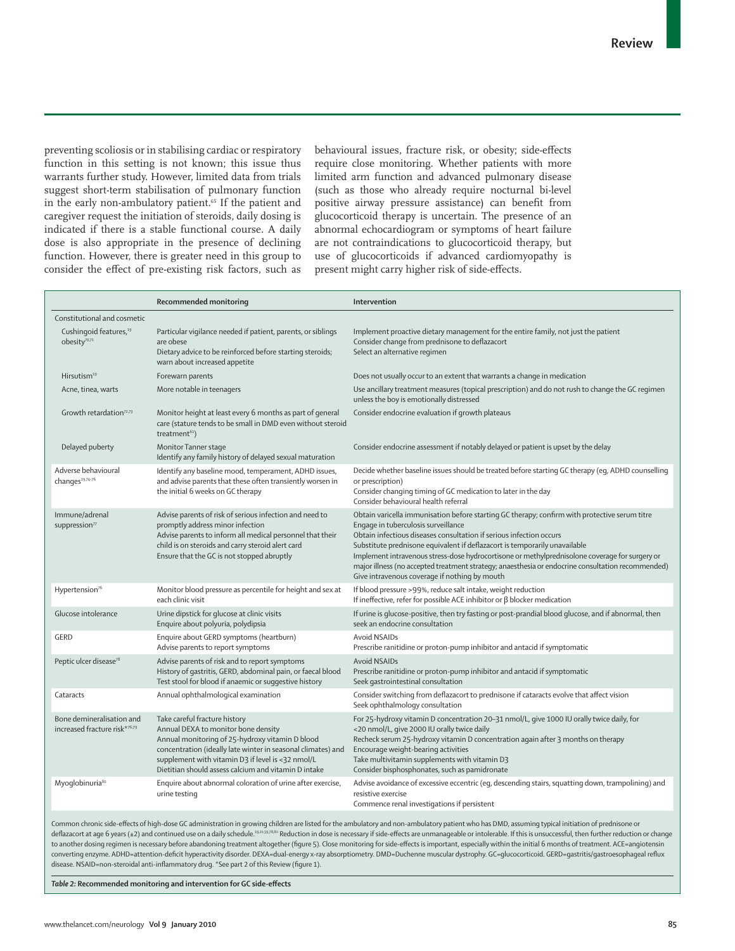preventing scoliosis or in stabilising cardiac or respiratory function in this setting is not known; this issue thus warrants further study. However, limited data from trials suggest short-term stabilisation of pulmonary function in the early non-ambulatory patient.<sup>65</sup> If the patient and caregiver request the initiation of steroids, daily dosing is indicated if there is a stable functional course. A daily dose is also appropriate in the presence of declining function. However, there is greater need in this group to consider the effect of pre-existing risk factors, such as behavioural issues, fracture risk, or obesity; side-effects require close monitoring. Whether patients with more limited arm function and advanced pulmonary disease (such as those who already require nocturnal bi-level positive airway pressure assistance) can benefit from glucocorticoid therapy is uncertain. The presence of an abnormal echocardiogram or symptoms of heart failure are not contraindications to glucocorticoid therapy, but use of glucocorticoids if advanced cardiomyopathy is present might carry higher risk of side-effects.

|                                                                | Recommended monitoring                                                                                                                                                                                                                                                                               | Intervention                                                                                                                                                                                                                                                                                                                                                                                                                                                                                                                                      |  |  |  |  |
|----------------------------------------------------------------|------------------------------------------------------------------------------------------------------------------------------------------------------------------------------------------------------------------------------------------------------------------------------------------------------|---------------------------------------------------------------------------------------------------------------------------------------------------------------------------------------------------------------------------------------------------------------------------------------------------------------------------------------------------------------------------------------------------------------------------------------------------------------------------------------------------------------------------------------------------|--|--|--|--|
| Constitutional and cosmetic                                    |                                                                                                                                                                                                                                                                                                      |                                                                                                                                                                                                                                                                                                                                                                                                                                                                                                                                                   |  |  |  |  |
| Cushingoid features, <sup>19</sup><br>obesity <sup>70,71</sup> | Particular vigilance needed if patient, parents, or siblings<br>are obese<br>Dietary advice to be reinforced before starting steroids;<br>warn about increased appetite                                                                                                                              | Implement proactive dietary management for the entire family, not just the patient<br>Consider change from prednisone to deflazacort<br>Select an alternative regimen                                                                                                                                                                                                                                                                                                                                                                             |  |  |  |  |
| Hirsutism <sup>19</sup>                                        | Forewarn parents                                                                                                                                                                                                                                                                                     | Does not usually occur to an extent that warrants a change in medication                                                                                                                                                                                                                                                                                                                                                                                                                                                                          |  |  |  |  |
| Acne, tinea, warts                                             | More notable in teenagers                                                                                                                                                                                                                                                                            | Use ancillary treatment measures (topical prescription) and do not rush to change the GC regimen<br>unless the boy is emotionally distressed                                                                                                                                                                                                                                                                                                                                                                                                      |  |  |  |  |
| Growth retardation <sup>72,73</sup>                            | Monitor height at least every 6 months as part of general<br>care (stature tends to be small in DMD even without steroid<br>treatment $61$ )                                                                                                                                                         | Consider endocrine evaluation if growth plateaus                                                                                                                                                                                                                                                                                                                                                                                                                                                                                                  |  |  |  |  |
| Delayed puberty                                                | Monitor Tanner stage<br>Identify any family history of delayed sexual maturation                                                                                                                                                                                                                     | Consider endocrine assessment if notably delayed or patient is upset by the delay                                                                                                                                                                                                                                                                                                                                                                                                                                                                 |  |  |  |  |
| Adverse behavioural<br>changes <sup>19,74-76</sup>             | Identify any baseline mood, temperament, ADHD issues,<br>and advise parents that these often transiently worsen in<br>the initial 6 weeks on GC therapy                                                                                                                                              | Decide whether baseline issues should be treated before starting GC therapy (eq, ADHD counselling<br>or prescription)<br>Consider changing timing of GC medication to later in the day<br>Consider behavioural health referral                                                                                                                                                                                                                                                                                                                    |  |  |  |  |
| Immune/adrenal<br>suppression <sup>77</sup>                    | Advise parents of risk of serious infection and need to<br>promptly address minor infection<br>Advise parents to inform all medical personnel that their<br>child is on steroids and carry steroid alert card<br>Ensure that the GC is not stopped abruptly                                          | Obtain varicella immunisation before starting GC therapy; confirm with protective serum titre<br>Engage in tuberculosis surveillance<br>Obtain infectious diseases consultation if serious infection occurs<br>Substitute prednisone equivalent if deflazacort is temporarily unavailable<br>Implement intravenous stress-dose hydrocortisone or methylprednisolone coverage for surgery or<br>major illness (no accepted treatment strategy; anaesthesia or endocrine consultation recommended)<br>Give intravenous coverage if nothing by mouth |  |  |  |  |
| Hypertension <sup>76</sup>                                     | Monitor blood pressure as percentile for height and sex at<br>each clinic visit                                                                                                                                                                                                                      | If blood pressure >99%, reduce salt intake, weight reduction<br>If ineffective, refer for possible ACE inhibitor or $\beta$ blocker medication                                                                                                                                                                                                                                                                                                                                                                                                    |  |  |  |  |
| Glucose intolerance                                            | Urine dipstick for glucose at clinic visits<br>Enquire about polyuria, polydipsia                                                                                                                                                                                                                    | If urine is glucose-positive, then try fasting or post-prandial blood glucose, and if abnormal, then<br>seek an endocrine consultation                                                                                                                                                                                                                                                                                                                                                                                                            |  |  |  |  |
| <b>GERD</b>                                                    | Enquire about GERD symptoms (heartburn)<br>Advise parents to report symptoms                                                                                                                                                                                                                         | <b>Avoid NSAIDs</b><br>Prescribe ranitidine or proton-pump inhibitor and antacid if symptomatic                                                                                                                                                                                                                                                                                                                                                                                                                                                   |  |  |  |  |
| Peptic ulcer disease <sup>78</sup>                             | Advise parents of risk and to report symptoms<br>History of gastritis, GERD, abdominal pain, or faecal blood<br>Test stool for blood if anaemic or suggestive history                                                                                                                                | <b>Avoid NSAIDs</b><br>Prescribe ranitidine or proton-pump inhibitor and antacid if symptomatic<br>Seek gastrointestinal consultation                                                                                                                                                                                                                                                                                                                                                                                                             |  |  |  |  |
| Cataracts                                                      | Annual ophthalmological examination                                                                                                                                                                                                                                                                  | Consider switching from deflazacort to prednisone if cataracts evolve that affect vision<br>Seek ophthalmology consultation                                                                                                                                                                                                                                                                                                                                                                                                                       |  |  |  |  |
| Bone demineralisation and<br>increased fracture risk*76.79     | Take careful fracture history<br>Annual DEXA to monitor bone density<br>Annual monitoring of 25-hydroxy vitamin D blood<br>concentration (ideally late winter in seasonal climates) and<br>supplement with vitamin D3 if level is <32 nmol/L<br>Dietitian should assess calcium and vitamin D intake | For 25-hydroxy vitamin D concentration 20-31 nmol/L, give 1000 IU orally twice daily, for<br><20 nmol/L, give 2000 IU orally twice daily<br>Recheck serum 25-hydroxy vitamin D concentration again after 3 months on therapy<br>Encourage weight-bearing activities<br>Take multivitamin supplements with vitamin D3<br>Consider bisphosphonates, such as pamidronate                                                                                                                                                                             |  |  |  |  |
| Myoqlobinuria <sup>80</sup>                                    | Enquire about abnormal coloration of urine after exercise,<br>urine testing                                                                                                                                                                                                                          | Advise avoidance of excessive eccentric (eq, descending stairs, squatting down, trampolining) and<br>resistive exercise<br>Commence renal investigations if persistent                                                                                                                                                                                                                                                                                                                                                                            |  |  |  |  |

Common chronic side-eff ects of high-dose GC administration in growing children are listed for the ambulatory and non-ambulatory patient who has DMD, assuming typical initiation of prednisone or deflazacort at age 6 years (±2) and continued use on a daily schedule.<sup>19,20,59,78,80</sup> Reduction in dose is necessary if side-effects are unmanageable or intolerable. If this is unsuccessful, then further reduction or chan to another dosing regimen is necessary before abandoning treatment altogether (figure 5). Close monitoring for side-effects is important, especially within the initial 6 months of treatment. ACE=angiotensin converting enzyme. ADHD=attention-deficit hyperactivity disorder. DEXA=dual-energy x-ray absorptiometry. DMD=Duchenne muscular dystrophy. GC=qlucocorticoid. GERD=qastritis/qastroesophageal reflux disease. NSAID=non-steroidal anti-inflammatory drug. \*See part 2 of this Review (figure 1).

**Table 2:** Recommended monitoring and intervention for GC side-effects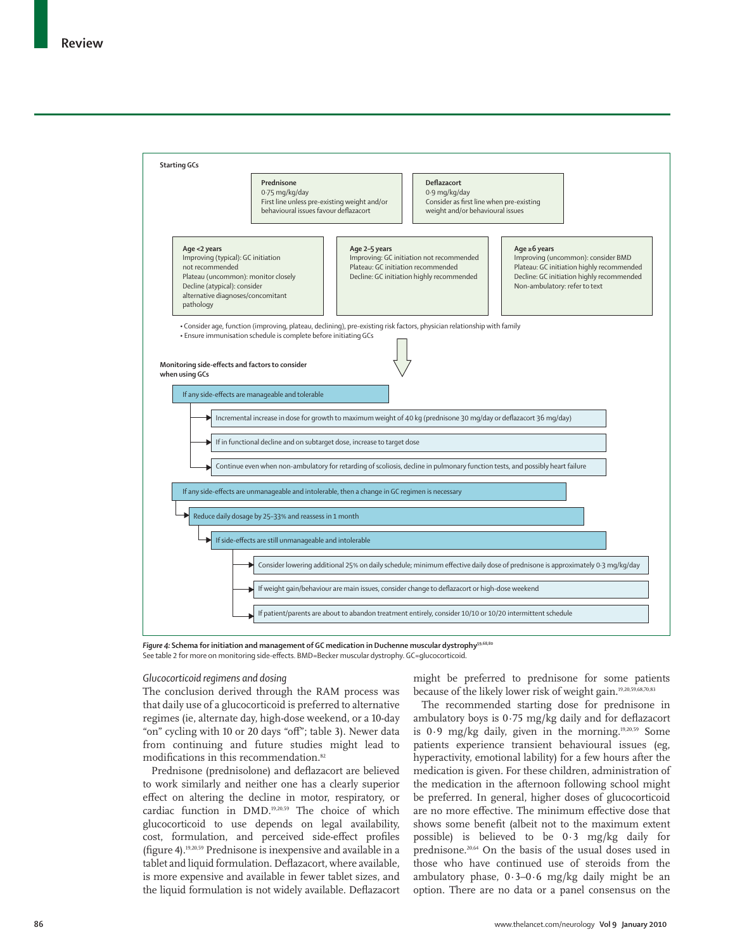

*Figure 4:* **Schema for initiation and management of GC medication in Duchenne muscular dystrophy59,68,80** See table 2 for more on monitoring side-effects. BMD=Becker muscular dystrophy. GC=glucocorticoid.

# *Glucocorticoid regimens and dosing*

The conclusion derived through the RAM process was that daily use of a glucocorticoid is preferred to alternative regimes (ie, alternate day, high-dose weekend, or a 10-day "on" cycling with 10 or 20 days "off"; table 3). Newer data from continuing and future studies might lead to modifications in this recommendation.<sup>82</sup>

Prednisone (prednisolone) and deflazacort are believed to work similarly and neither one has a clearly superior effect on altering the decline in motor, respiratory, or cardiac function in DMD.19,20,59 The choice of which glucocorticoid to use depends on legal availability, cost, formulation, and perceived side-effect profiles (figure 4).<sup>19,20,59</sup> Prednisone is inexpensive and available in a tablet and liquid formulation. Deflazacort, where available, is more expensive and available in fewer tablet sizes, and the liquid formulation is not widely available. Deflazacort might be preferred to prednisone for some patients because of the likely lower risk of weight gain.19,20,59,68,70,83

The recommended starting dose for prednisone in ambulatory boys is  $0.75$  mg/kg daily and for deflazacort is 0.9 mg/kg daily, given in the morning.<sup>19,20,59</sup> Some patients experience transient behavioural issues (eg, hyperactivity, emotional lability) for a few hours after the medication is given. For these children, administration of the medication in the afternoon following school might be preferred. In general, higher doses of glucocorticoid are no more effective. The minimum effective dose that shows some benefit (albeit not to the maximum extent possible) is believed to be 0·3 mg/kg daily for prednisone.20,64 On the basis of the usual doses used in those who have continued use of steroids from the ambulatory phase,  $0.3-0.6$  mg/kg daily might be an option. There are no data or a panel consensus on the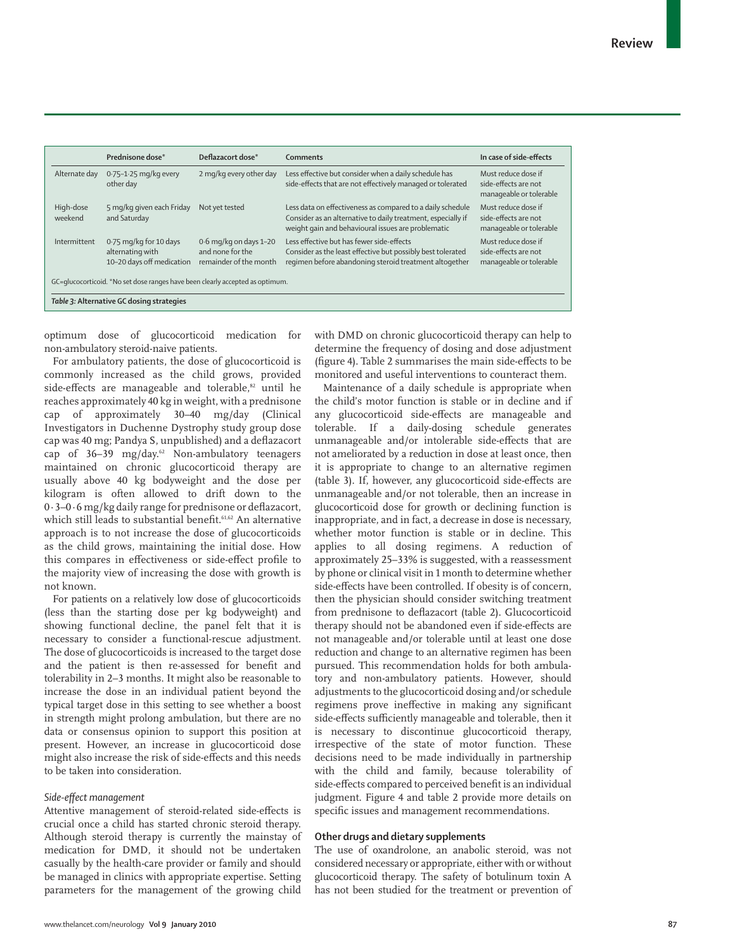|                                                                               | Prednisone dose*                                                        | Deflazacort dose*                                                    | Comments                                                                                                                                                                         | In case of side-effects                                                |  |  |  |
|-------------------------------------------------------------------------------|-------------------------------------------------------------------------|----------------------------------------------------------------------|----------------------------------------------------------------------------------------------------------------------------------------------------------------------------------|------------------------------------------------------------------------|--|--|--|
| Alternate day                                                                 | $0.75 - 1.25$ mg/kg every<br>other day                                  | 2 mg/kg every other day                                              | Less effective but consider when a daily schedule has<br>side-effects that are not effectively managed or tolerated                                                              | Must reduce dose if<br>side-effects are not<br>manageable or tolerable |  |  |  |
| High-dose<br>weekend                                                          | 5 mg/kg given each Friday<br>and Saturday                               | Not yet tested                                                       | Less data on effectiveness as compared to a daily schedule<br>Consider as an alternative to daily treatment, especially if<br>weight gain and behavioural issues are problematic | Must reduce dose if<br>side-effects are not<br>manageable or tolerable |  |  |  |
| Intermittent                                                                  | 0.75 mg/kg for 10 days<br>alternating with<br>10-20 days off medication | 0.6 mg/kg on days 1-20<br>and none for the<br>remainder of the month | Less effective but has fewer side-effects<br>Consider as the least effective but possibly best tolerated<br>regimen before abandoning steroid treatment altogether               | Must reduce dose if<br>side-effects are not<br>manageable or tolerable |  |  |  |
| GC=qlucocorticoid. *No set dose ranges have been clearly accepted as optimum. |                                                                         |                                                                      |                                                                                                                                                                                  |                                                                        |  |  |  |
| Table 3: Alternative GC dosing strategies                                     |                                                                         |                                                                      |                                                                                                                                                                                  |                                                                        |  |  |  |

optimum dose of glucocorticoid medication for non-ambulatory steroid-naive patients.

For ambulatory patients, the dose of glucocorticoid is commonly increased as the child grows, provided side-effects are manageable and tolerable,<sup>82</sup> until he reaches approximately 40 kg in weight, with a prednisone cap of approximately 30–40 mg/day (Clinical Investigators in Duchenne Dystrophy study group dose cap was 40 mg; Pandya S, unpublished) and a deflazacort cap of 36-39 mg/day.<sup>62</sup> Non-ambulatory teenagers maintained on chronic glucocorticoid therapy are usually above 40 kg bodyweight and the dose per kilogram is often allowed to drift down to the  $0.3-0.6$  mg/kg daily range for prednisone or deflazacort, which still leads to substantial benefit.<sup>61,62</sup> An alternative approach is to not increase the dose of glucocorticoids as the child grows, maintaining the initial dose. How this compares in effectiveness or side-effect profile to the majority view of increasing the dose with growth is not known.

For patients on a relatively low dose of glucocorticoids (less than the starting dose per kg bodyweight) and showing functional decline, the panel felt that it is necessary to consider a functional-rescue adjustment. The dose of glucocorticoids is increased to the target dose and the patient is then re-assessed for benefit and tolerability in 2–3 months. It might also be reasonable to increase the dose in an individual patient beyond the typical target dose in this setting to see whether a boost in strength might prolong ambulation, but there are no data or consensus opinion to support this position at present. However, an increase in glucocorticoid dose might also increase the risk of side-effects and this needs to be taken into consideration.

# Side-effect management

Attentive management of steroid-related side-effects is crucial once a child has started chronic steroid therapy. Although steroid therapy is currently the mainstay of medication for DMD, it should not be undertaken casually by the health-care provider or family and should be managed in clinics with appropriate expertise. Setting parameters for the management of the growing child

with DMD on chronic glucocorticoid therapy can help to determine the frequency of dosing and dose adjustment (figure 4). Table 2 summarises the main side-effects to be monitored and useful interventions to counteract them.

Maintenance of a daily schedule is appropriate when the child's motor function is stable or in decline and if any glucocorticoid side-effects are manageable and tolerable. If a daily-dosing schedule generates unmanageable and/or intolerable side-effects that are not ameliorated by a reduction in dose at least once, then it is appropriate to change to an alternative regimen (table 3). If, however, any glucocorticoid side-effects are unmanageable and/or not tolerable, then an increase in glucocorticoid dose for growth or declining function is inappropriate, and in fact, a decrease in dose is necessary, whether motor function is stable or in decline. This applies to all dosing regimens. A reduction of approximately 25–33% is suggested, with a reassessment by phone or clinical visit in 1 month to determine whether side-effects have been controlled. If obesity is of concern, then the physician should consider switching treatment from prednisone to deflazacort (table 2). Glucocorticoid therapy should not be abandoned even if side-effects are not manageable and/or tolerable until at least one dose reduction and change to an alternative regimen has been pursued. This recommendation holds for both ambulatory and non-ambulatory patients. However, should adjustments to the glucocorticoid dosing and/or schedule regimens prove ineffective in making any significant side-effects sufficiently manageable and tolerable, then it is necessary to discontinue glucocorticoid therapy, irrespective of the state of motor function. These decisions need to be made individually in partnership with the child and family, because tolerability of side-effects compared to perceived benefit is an individual judgment. Figure 4 and table 2 provide more details on specific issues and management recommendations.

#### **Other drugs and dietary supplements**

The use of oxandrolone, an anabolic steroid, was not considered necessary or appropriate, either with or without glucocorticoid therapy. The safety of botulinum toxin A has not been studied for the treatment or prevention of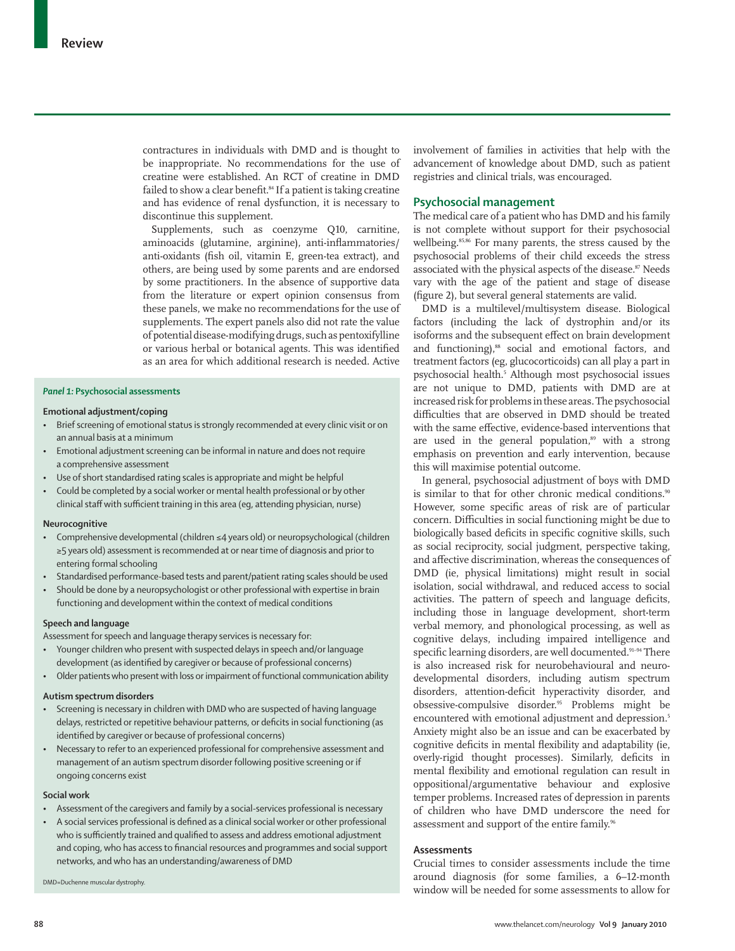contractures in individuals with DMD and is thought to be inappropriate. No recommendations for the use of creatine were established. An RCT of creatine in DMD failed to show a clear benefit.<sup>84</sup> If a patient is taking creatine and has evidence of renal dysfunction, it is necessary to discontinue this supplement.

Supplements, such as coenzyme Q10, carnitine, aminoacids (glutamine, arginine), anti-inflammatories/ anti-oxidants (fish oil, vitamin E, green-tea extract), and others, are being used by some parents and are endorsed by some practitioners. In the absence of supportive data from the literature or expert opinion consensus from these panels, we make no recommendations for the use of supplements. The expert panels also did not rate the value of potential disease-modifying drugs, such as pentoxifylline or various herbal or botanical agents. This was identified as an area for which additional research is needed. Active

# *Panel 1:* **Psychosocial assessments**

#### **Emotional adjustment/coping**

- Brief screening of emotional status is strongly recommended at every clinic visit or on an annual basis at a minimum
- Emotional adjustment screening can be informal in nature and does not require a comprehensive assessment
- Use of short standardised rating scales is appropriate and might be helpful
- Could be completed by a social worker or mental health professional or by other clinical staff with sufficient training in this area (eg, attending physician, nurse)

# **Neurocognitive**

- Comprehensive developmental (children ≤4 years old) or neuropsychological (children ≥5 years old) assessment is recommended at or near time of diagnosis and prior to entering formal schooling
- Standardised performance-based tests and parent/patient rating scales should be used
- Should be done by a neuropsychologist or other professional with expertise in brain functioning and development within the context of medical conditions

#### **Speech and language**

Assessment for speech and language therapy services is necessary for:

- Younger children who present with suspected delays in speech and/or language development (as identified by caregiver or because of professional concerns)
- Older patients who present with loss or impairment of functional communication ability

#### **Autism spectrum disorders**

- Screening is necessary in children with DMD who are suspected of having language delays, restricted or repetitive behaviour patterns, or deficits in social functioning (as identified by caregiver or because of professional concerns)
- Necessary to refer to an experienced professional for comprehensive assessment and management of an autism spectrum disorder following positive screening or if ongoing concerns exist

#### **Social work**

- Assessment of the caregivers and family by a social-services professional is necessary
- A social services professional is defined as a clinical social worker or other professional who is sufficiently trained and qualified to assess and address emotional adjustment and coping, who has access to financial resources and programmes and social support networks, and who has an understanding/awareness of DMD

DMD=Duchenne muscular dystrophy.

involvement of families in activities that help with the advancement of knowledge about DMD, such as patient registries and clinical trials, was encouraged.

# **Psychosocial management**

The medical care of a patient who has DMD and his family is not complete without support for their psychosocial wellbeing.<sup>85,86</sup> For many parents, the stress caused by the psychosocial problems of their child exceeds the stress associated with the physical aspects of the disease.<sup>87</sup> Needs vary with the age of the patient and stage of disease (figure 2), but several general statements are valid.

DMD is a multilevel/multisystem disease. Biological factors (including the lack of dystrophin and/or its isoforms and the subsequent effect on brain development and functioning),<sup>88</sup> social and emotional factors, and treatment factors (eg, glucocorticoids) can all play a part in psychosocial health.5 Although most psychosocial issues are not unique to DMD, patients with DMD are at increased risk for problems in these areas. The psychosocial difficulties that are observed in DMD should be treated with the same effective, evidence-based interventions that are used in the general population,<sup>89</sup> with a strong emphasis on prevention and early intervention, because this will maximise potential outcome.

In general, psychosocial adjustment of boys with DMD is similar to that for other chronic medical conditions.<sup>90</sup> However, some specific areas of risk are of particular concern. Difficulties in social functioning might be due to biologically based deficits in specific cognitive skills, such as social reciprocity, social judgment, perspective taking, and affective discrimination, whereas the consequences of DMD (ie, physical limitations) might result in social isolation, social withdrawal, and reduced access to social activities. The pattern of speech and language deficits, including those in language development, short-term verbal memory, and phonological processing, as well as cognitive delays, including impaired intelligence and specific learning disorders, are well documented.<sup>91-94</sup> There is also increased risk for neurobehavioural and neurodevelopmental disorders, including autism spectrum disorders, attention-deficit hyperactivity disorder, and obsessive-compulsive disorder.95 Problems might be encountered with emotional adjustment and depression.<sup>5</sup> Anxiety might also be an issue and can be exacerbated by cognitive deficits in mental flexibility and adaptability (ie, overly-rigid thought processes). Similarly, deficits in mental flexibility and emotional regulation can result in oppositional/argumentative behaviour and explosive temper problems. Increased rates of depression in parents of children who have DMD underscore the need for assessment and support of the entire family.<sup>96</sup>

# **Assessments**

Crucial times to consider assessments include the time around diagnosis (for some families, a 6–12-month window will be needed for some assessments to allow for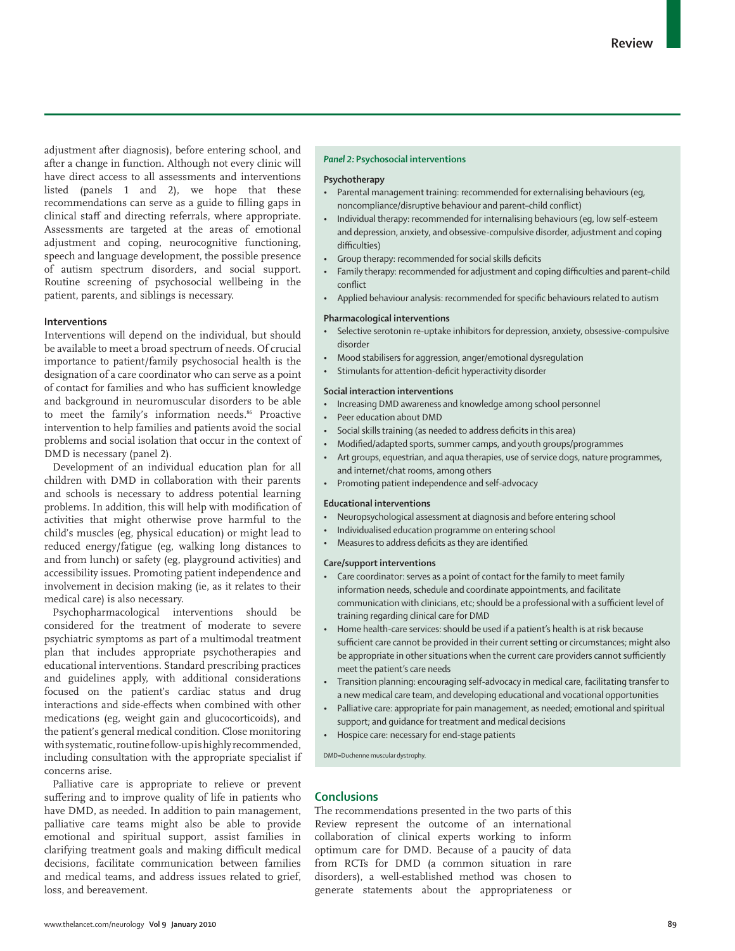adjustment after diagnosis), before entering school, and after a change in function. Although not every clinic will have direct access to all assessments and interventions listed (panels 1 and 2), we hope that these recommendations can serve as a guide to filling gaps in clinical staff and directing referrals, where appropriate. Assessments are targeted at the areas of emotional adjustment and coping, neurocognitive functioning, speech and language development, the possible presence of autism spectrum disorders, and social support. Routine screening of psychosocial wellbeing in the patient, parents, and siblings is necessary.

# **Interventions**

Interventions will depend on the individual, but should be available to meet a broad spectrum of needs. Of crucial importance to patient/family psychosocial health is the designation of a care coordinator who can serve as a point of contact for families and who has sufficient knowledge and background in neuromuscular disorders to be able to meet the family's information needs.<sup>86</sup> Proactive intervention to help families and patients avoid the social problems and social isolation that occur in the context of DMD is necessary (panel 2).

Development of an individual education plan for all children with DMD in collaboration with their parents and schools is necessary to address potential learning problems. In addition, this will help with modification of activities that might otherwise prove harmful to the child's muscles (eg, physical education) or might lead to reduced energy/fatigue (eg, walking long distances to and from lunch) or safety (eg, playground activities) and accessibility issues. Promoting patient independence and involvement in decision making (ie, as it relates to their medical care) is also necessary.

Psychopharmacological interventions should be considered for the treatment of moderate to severe psychiatric symptoms as part of a multimodal treatment plan that includes appropriate psychotherapies and educational interventions. Standard prescribing practices and guidelines apply, with additional considerations focused on the patient's cardiac status and drug interactions and side-effects when combined with other medications (eg, weight gain and glucocorticoids), and the patient's general medical condition. Close monitoring with systematic, routine follow-up is highly recommended, including consultation with the appropriate specialist if concerns arise.

Palliative care is appropriate to relieve or prevent suffering and to improve quality of life in patients who have DMD, as needed. In addition to pain management, palliative care teams might also be able to provide emotional and spiritual support, assist families in clarifying treatment goals and making difficult medical decisions, facilitate communication between families and medical teams, and address issues related to grief, loss, and bereavement.

# *Panel 2:* **Psychosocial interventions**

# **Psychotherapy**

- Parental management training: recommended for externalising behaviours (eg, noncompliance/disruptive behaviour and parent-child conflict)
- Individual therapy: recommended for internalising behaviours (eg, low self-esteem and depression, anxiety, and obsessive-compulsive disorder, adjustment and coping difficulties)
- Group therapy: recommended for social skills deficits
- Family therapy: recommended for adjustment and coping difficulties and parent-child conflict
- Applied behaviour analysis: recommended for specific behaviours related to autism

#### **Pharmacological interventions**

- Selective serotonin re-uptake inhibitors for depression, anxiety, obsessive-compulsive disorder
- Mood stabilisers for aggression, anger/emotional dysregulation
- Stimulants for attention-deficit hyperactivity disorder

#### **Social interaction interventions**

- Increasing DMD awareness and knowledge among school personnel
- Peer education about DMD
- Social skills training (as needed to address deficits in this area)
- Modified/adapted sports, summer camps, and youth groups/programmes
- Art groups, equestrian, and aqua therapies, use of service dogs, nature programmes, and internet/chat rooms, among others
- Promoting patient independence and self-advocacy

# **Educational interventions**

- Neuropsychological assessment at diagnosis and before entering school
- Individualised education programme on entering school
- Measures to address deficits as they are identified

# **Care/support interventions**

- Care coordinator: serves as a point of contact for the family to meet family information needs, schedule and coordinate appointments, and facilitate communication with clinicians, etc; should be a professional with a sufficient level of training regarding clinical care for DMD
- Home health-care services: should be used if a patient's health is at risk because sufficient care cannot be provided in their current setting or circumstances; might also be appropriate in other situations when the current care providers cannot sufficiently meet the patient's care needs
- Transition planning: encouraging self-advocacy in medical care, facilitating transfer to a new medical care team, and developing educational and vocational opportunities
- Palliative care: appropriate for pain management, as needed; emotional and spiritual support; and guidance for treatment and medical decisions
- Hospice care: necessary for end-stage patients

DMD=Duchenne muscular dystrophy.

#### **Conclusions**

The recommendations presented in the two parts of this Review represent the outcome of an international collaboration of clinical experts working to inform optimum care for DMD. Because of a paucity of data from RCTs for DMD (a common situation in rare disorders), a well-established method was chosen to generate statements about the appropriateness or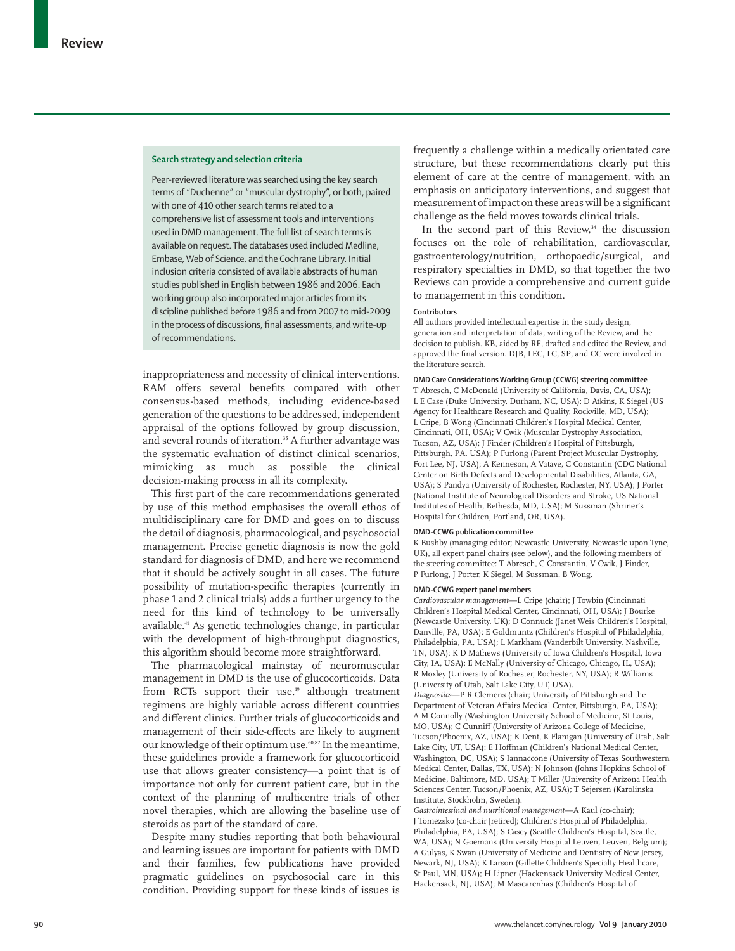#### **Search strategy and selection criteria**

Peer-reviewed literature was searched using the key search terms of "Duchenne" or "muscular dystrophy", or both, paired with one of 410 other search terms related to a comprehensive list of assessment tools and interventions used in DMD management. The full list of search terms is available on request. The databases used included Medline, Embase, Web of Science, and the Cochrane Library. Initial inclusion criteria consisted of available abstracts of human studies published in English between 1986 and 2006. Each working group also incorporated major articles from its discipline published before 1986 and from 2007 to mid-2009 in the process of discussions, final assessments, and write-up of recommendations.

inappropriateness and necessity of clinical interventions. RAM offers several benefits compared with other consensus-based methods, including evidence-based generation of the questions to be addressed, independent appraisal of the options followed by group discussion, and several rounds of iteration.<sup>35</sup> A further advantage was the systematic evaluation of distinct clinical scenarios, mimicking as much as possible the clinical decision-making process in all its complexity.

This first part of the care recommendations generated by use of this method emphasises the overall ethos of multidisciplinary care for DMD and goes on to discuss the detail of diagnosis, pharmacological, and psychosocial management. Precise genetic diagnosis is now the gold standard for diagnosis of DMD, and here we recommend that it should be actively sought in all cases. The future possibility of mutation-specific therapies (currently in phase 1 and 2 clinical trials) adds a further urgency to the need for this kind of technology to be universally available.41 As genetic technologies change, in particular with the development of high-throughput diagnostics, this algorithm should become more straightforward.

The pharmacological mainstay of neuromuscular management in DMD is the use of glucocorticoids. Data from RCTs support their use,<sup>19</sup> although treatment regimens are highly variable across different countries and different clinics. Further trials of glucocorticoids and management of their side-effects are likely to augment our knowledge of their optimum use.<sup>60,82</sup> In the meantime, these guidelines provide a framework for glucocorticoid use that allows greater consistency—a point that is of importance not only for current patient care, but in the context of the planning of multicentre trials of other novel therapies, which are allowing the baseline use of steroids as part of the standard of care.

Despite many studies reporting that both behavioural and learning issues are important for patients with DMD and their families, few publications have provided pragmatic guidelines on psychosocial care in this condition. Providing support for these kinds of issues is

frequently a challenge within a medically orientated care structure, but these recommendations clearly put this element of care at the centre of management, with an emphasis on anticipatory interventions, and suggest that measurement of impact on these areas will be a significant challenge as the field moves towards clinical trials.

In the second part of this Review,<sup>34</sup> the discussion focuses on the role of rehabilitation, cardiovascular, gastroenterology/nutrition, orthopaedic/surgical, and respiratory specialties in DMD, so that together the two Reviews can provide a comprehensive and current guide to management in this condition.

#### **Contributors**

All authors provided intellectual expertise in the study design, generation and interpretation of data, writing of the Review, and the decision to publish. KB, aided by RF, drafted and edited the Review, and approved the final version. DJB, LEC, LC, SP, and CC were involved in the literature search.

#### **DMD Care Considerations Working Group (CCWG) steering committee** T Abresch, C McDonald (University of California, Davis, CA, USA); L E Case (Duke University, Durham, NC, USA); D Atkins, K Siegel (US Agency for Healthcare Research and Quality, Rockville, MD, USA); L Cripe, B Wong (Cincinnati Children's Hospital Medical Center, Cincinnati, OH, USA); V Cwik (Muscular Dystrophy Association, Tucson, AZ, USA); J Finder (Children's Hospital of Pittsburgh, Pittsburgh, PA, USA); P Furlong (Parent Project Muscular Dystrophy, Fort Lee, NJ, USA); A Kenneson, A Vatave, C Constantin (CDC National Center on Birth Defects and Developmental Disabilities, Atlanta, GA, USA); S Pandya (University of Rochester, Rochester, NY, USA); J Porter (National Institute of Neurological Disorders and Stroke, US National Institutes of Health, Bethesda, MD, USA); M Sussman (Shriner's Hospital for Children, Portland, OR, USA).

#### **DMD-CCWG publication committee**

K Bushby (managing editor; Newcastle University, Newcastle upon Tyne, UK), all expert panel chairs (see below), and the following members of the steering committee: T Abresch, C Constantin, V Cwik, J Finder, P Furlong, J Porter, K Siegel, M Sussman, B Wong.

#### **DMD-CCWG expert panel members**

*Cardiovascular management*—L Cripe (chair); J Towbin (Cincinnati Children's Hospital Medical Center, Cincinnati, OH, USA); J Bourke (Newcastle University, UK); D Connuck (Janet Weis Children's Hospital, Danville, PA, USA); E Goldmuntz (Children's Hospital of Philadelphia, Philadelphia, PA, USA); L Markham (Vanderbilt University, Nashville, TN, USA); K D Mathews (University of Iowa Children's Hospital, Iowa City, IA, USA); E McNally (University of Chicago, Chicago, IL, USA); R Moxley (University of Rochester, Rochester, NY, USA); R Williams (University of Utah, Salt Lake City, UT, USA).

*Diagnostics*—P R Clemens (chair; University of Pittsburgh and the Department of Veteran Affairs Medical Center, Pittsburgh, PA, USA); A M Connolly (Washington University School of Medicine, St Louis, MO, USA); C Cunniff (University of Arizona College of Medicine, Tucson/Phoenix, AZ, USA); K Dent, K Flanigan (University of Utah, Salt Lake City, UT, USA); E Hoffman (Children's National Medical Center, Washington, DC, USA); S Iannaccone (University of Texas Southwestern Medical Center, Dallas, TX, USA); N Johnson (Johns Hopkins School of Medicine, Baltimore, MD, USA); T Miller (University of Arizona Health Sciences Center, Tucson/Phoenix, AZ, USA); T Sejersen (Karolinska Institute, Stockholm, Sweden).

*Gastrointestinal and nutritional management*—A Kaul (co-chair); J Tomezsko (co-chair [retired]; Children's Hospital of Philadelphia, Philadelphia, PA, USA); S Casey (Seattle Children's Hospital, Seattle, WA, USA); N Goemans (University Hospital Leuven, Leuven, Belgium); A Gulyas, K Swan (University of Medicine and Dentistry of New Jersey, Newark, NJ, USA); K Larson (Gillette Children's Specialty Healthcare, St Paul, MN, USA); H Lipner (Hackensack University Medical Center, Hackensack, NJ, USA); M Mascarenhas (Children's Hospital of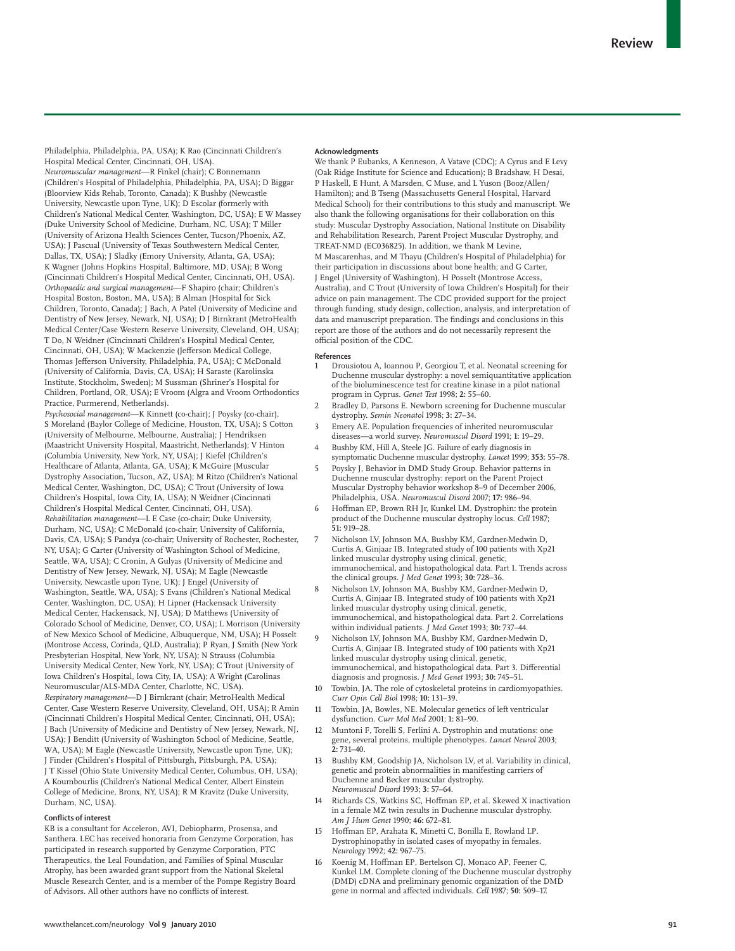Philadelphia, Philadelphia, PA, USA); K Rao (Cincinnati Children's Hospital Medical Center, Cincinnati, OH, USA). *Neuromuscular management*—R Finkel (chair); C Bonnemann (Children's Hospital of Philadelphia, Philadelphia, PA, USA); D Biggar (Bloorview Kids Rehab, Toronto, Canada); K Bushby (Newcastle University, Newcastle upon Tyne, UK); D Escolar (formerly with Children's National Medical Center, Washington, DC, USA); E W Massey (Duke University School of Medicine, Durham, NC, USA); T Miller (University of Arizona Health Sciences Center, Tucson/Phoenix, AZ, USA); J Pascual (University of Texas Southwestern Medical Center, Dallas, TX, USA); J Sladky (Emory University, Atlanta, GA, USA); K Wagner (Johns Hopkins Hospital, Baltimore, MD, USA); B Wong (Cincinnati Children's Hospital Medical Center, Cincinnati, OH, USA). *Orthopaedic and surgical management*—F Shapiro (chair; Children's Hospital Boston, Boston, MA, USA); B Alman (Hospital for Sick Children, Toronto, Canada); J Bach, A Patel (University of Medicine and Dentistry of New Jersey, Newark, NJ, USA); D J Birnkrant (MetroHealth Medical Center/Case Western Reserve University, Cleveland, OH, USA); T Do, N Weidner (Cincinnati Children's Hospital Medical Center, Cincinnati, OH, USA); W Mackenzie (Jefferson Medical College, Thomas Jefferson University, Philadelphia, PA, USA); C McDonald (University of California, Davis, CA, USA); H Saraste (Karolinska Institute, Stockholm, Sweden); M Sussman (Shriner's Hospital for Children, Portland, OR, USA); E Vroom (Algra and Vroom Orthodontics Practice, Purmerend, Netherlands).

*Psychosocial management*—K Kinnett (co-chair); J Poysky (co-chair), S Moreland (Baylor College of Medicine, Houston, TX, USA); S Cotton (University of Melbourne, Melbourne, Australia); J Hendriksen (Maastricht University Hospital, Maastricht, Netherlands); V Hinton (Columbia University, New York, NY, USA); J Kiefel (Children's Healthcare of Atlanta, Atlanta, GA, USA); K McGuire (Muscular Dystrophy Association, Tucson, AZ, USA); M Ritzo (Children's National Medical Center, Washington, DC, USA); C Trout (University of Iowa Children's Hospital, Iowa City, IA, USA); N Weidner (Cincinnati Children's Hospital Medical Center, Cincinnati, OH, USA). *Rehabilitation management*—L E Case (co-chair; Duke University, Durham, NC, USA); C McDonald (co-chair; University of California, Davis, CA, USA); S Pandya (co-chair; University of Rochester, Rochester, NY, USA); G Carter (University of Washington School of Medicine, Seattle, WA, USA); C Cronin, A Gulyas (University of Medicine and Dentistry of New Jersey, Newark, NJ, USA); M Eagle (Newcastle University, Newcastle upon Tyne, UK); J Engel (University of Washington, Seattle, WA, USA); S Evans (Children's National Medical Center, Washington, DC, USA); H Lipner (Hackensack University Medical Center, Hackensack, NJ, USA); D Matthews (University of Colorado School of Medicine, Denver, CO, USA); L Morrison (University of New Mexico School of Medicine, Albuquerque, NM, USA); H Posselt (Montrose Access, Corinda, QLD, Australia); P Ryan, J Smith (New York Presbyterian Hospital, New York, NY, USA); N Strauss (Columbia University Medical Center, New York, NY, USA); C Trout (University of Iowa Children's Hospital, Iowa City, IA, USA); A Wright (Carolinas Neuromuscular/ALS-MDA Center, Charlotte, NC, USA). *Respiratory management*—D J Birnkrant (chair; MetroHealth Medical Center, Case Western Reserve University, Cleveland, OH, USA); R Amin (Cincinnati Children's Hospital Medical Center, Cincinnati, OH, USA); J Bach (University of Medicine and Dentistry of New Jersey, Newark, NJ, USA); J Benditt (University of Washington School of Medicine, Seattle, WA, USA); M Eagle (Newcastle University, Newcastle upon Tyne, UK); J Finder (Children's Hospital of Pittsburgh, Pittsburgh, PA, USA); J T Kissel (Ohio State University Medical Center, Columbus, OH, USA); A Koumbourlis (Children's National Medical Center, Albert Einstein College of Medicine, Bronx, NY, USA); R M Kravitz (Duke University, Durham, NC, USA).

#### **Conflicts of interest**

KB is a consultant for Acceleron, AVI, Debiopharm, Prosensa, and Santhera. LEC has received honoraria from Genzyme Corporation, has participated in research supported by Genzyme Corporation, PTC Therapeutics, the Leal Foundation, and Families of Spinal Muscular Atrophy, has been awarded grant support from the National Skeletal Muscle Research Center, and is a member of the Pompe Registry Board of Advisors. All other authors have no conflicts of interest.

#### **Acknowledgments**

We thank P Eubanks, A Kenneson, A Vatave (CDC); A Cyrus and E Levy (Oak Ridge Institute for Science and Education); B Bradshaw, H Desai, P Haskell, E Hunt, A Marsden, C Muse, and L Yuson (Booz/Allen/ Hamilton); and B Tseng (Massachusetts General Hospital, Harvard Medical School) for their contributions to this study and manuscript. We also thank the following organisations for their collaboration on this study: Muscular Dystrophy Association, National Institute on Disability and Rehabilitation Research, Parent Project Muscular Dystrophy, and TREAT-NMD (EC036825). In addition, we thank M Levine, M Mascarenhas, and M Thayu (Children's Hospital of Philadelphia) for their participation in discussions about bone health; and G Carter, J Engel (University of Washington), H Posselt (Montrose Access, Australia), and C Trout (University of Iowa Children's Hospital) for their advice on pain management. The CDC provided support for the project through funding, study design, collection, analysis, and interpretation of data and manuscript preparation. The findings and conclusions in this report are those of the authors and do not necessarily represent the official position of the CDC.

#### **References**

- 1 Drousiotou A, Ioannou P, Georgiou T, et al. Neonatal screening for Duchenne muscular dystrophy: a novel semiquantitative application of the bioluminescence test for creatine kinase in a pilot national program in Cyprus. *Genet Test* 1998; **2:** 55–60.
- 2 Bradley D, Parsons E. Newborn screening for Duchenne muscular dystrophy. *Semin Neonatol* 1998; **3:** 27–34.
- 3 Emery AE. Population frequencies of inherited neuromuscular diseases—a world survey. *Neuromuscul Disord* 1991; **1:** 19–29.
- Bushby KM, Hill A, Steele JG. Failure of early diagnosis in symptomatic Duchenne muscular dystrophy. *Lancet* 1999; **353:** 55–78.
- 5 Poysky J, Behavior in DMD Study Group. Behavior patterns in Duchenne muscular dystrophy: report on the Parent Project Muscular Dystrophy behavior workshop 8–9 of December 2006, Philadelphia, USA. *Neuromuscul Disord* 2007; **17:** 986–94.
- 6 Hoffman EP, Brown RH Jr, Kunkel LM. Dystrophin: the protein product of the Duchenne muscular dystrophy locus. *Cell* 1987; **51:** 919–28.
- 7 Nicholson LV, Johnson MA, Bushby KM, Gardner-Medwin D, Curtis A, Ginjaar IB. Integrated study of 100 patients with Xp21 linked muscular dystrophy using clinical, genetic, immunochemical, and histopathological data. Part 1. Trends across the clinical groups. *J Med Genet* 1993; **30:** 728–36.
- Nicholson LV, Johnson MA, Bushby KM, Gardner-Medwin D, Curtis A, Ginjaar IB. Integrated study of 100 patients with Xp21 linked muscular dystrophy using clinical, genetic, immunochemical, and histopathological data. Part 2. Correlations within individual patients. *J Med Genet* 1993; **30:** 737–44.
- Nicholson LV, Johnson MA, Bushby KM, Gardner-Medwin D, Curtis A, Ginjaar IB. Integrated study of 100 patients with Xp21 linked muscular dystrophy using clinical, genetic, immunochemical, and histopathological data. Part 3. Differential diagnosis and prognosis. *J Med Genet* 1993; **30:** 745–51.
- 10 Towbin, JA. The role of cytoskeletal proteins in cardiomyopathies. *Curr Opin Cell Biol* 1998; **10:** 131–39.
- Towbin, JA, Bowles, NE. Molecular genetics of left ventricular dysfunction. *Curr Mol Med* 2001; **1:** 81–90.
- 12 Muntoni F, Torelli S, Ferlini A. Dystrophin and mutations: one gene, several proteins, multiple phenotypes. *Lancet Neurol* 2003; **2:** 731–40.
- 13 Bushby KM, Goodship JA, Nicholson LV, et al. Variability in clinical, genetic and protein abnormalities in manifesting carriers of Duchenne and Becker muscular dystrophy. *Neuromuscul Disord* 1993; **3:** 57–64.
- 14 Richards CS, Watkins SC, Hoffman EP, et al. Skewed X inactivation in a female MZ twin results in Duchenne muscular dystrophy. *Am J Hum Genet* 1990; **46:** 672–81.
- 15 Hoffman EP, Arahata K, Minetti C, Bonilla E, Rowland LP. Dystrophinopathy in isolated cases of myopathy in females. *Neurology* 1992; **42:** 967–75.
- 16 Koenig M, Hoffman EP, Bertelson CJ, Monaco AP, Feener C, Kunkel LM. Complete cloning of the Duchenne muscular dystrophy (DMD) cDNA and preliminary genomic organization of the DMD gene in normal and aff ected individuals. *Cell* 1987; **50:** 509–17.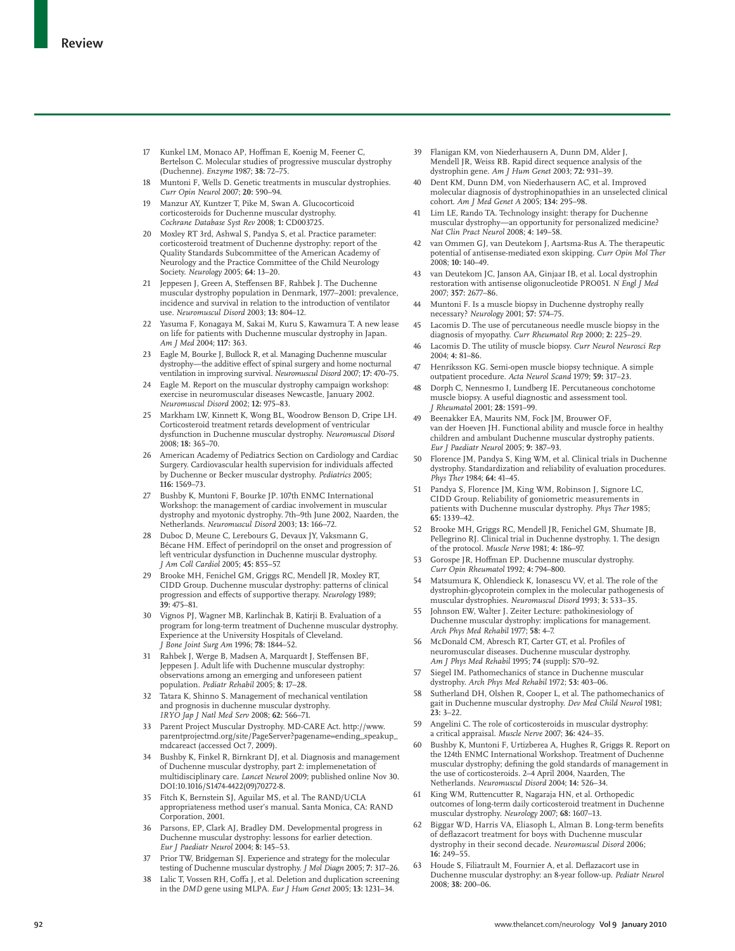- 17 Kunkel LM, Monaco AP, Hoffman E, Koenig M, Feener C, Bertelson C. Molecular studies of progressive muscular dystrophy (Duchenne). *Enzyme* 1987; **38:** 72–75.
- 18 Muntoni F, Wells D. Genetic treatments in muscular dystrophies. *Curr Opin Neurol* 2007; **20:** 590–94.
- 19 Manzur AY, Kuntzer T, Pike M, Swan A. Glucocorticoid corticosteroids for Duchenne muscular dystrophy. *Cochrane Database Syst Rev* 2008; **1:** CD003725.
- 20 Moxley RT 3rd, Ashwal S, Pandya S, et al. Practice parameter: corticosteroid treatment of Duchenne dystrophy: report of the Quality Standards Subcommittee of the American Academy of Neurology and the Practice Committee of the Child Neurology Society. *Neurology* 2005; **64:** 13–20.
- 21 Jeppesen J, Green A, Steffensen BF, Rahbek J. The Duchenne muscular dystrophy population in Denmark, 1977–2001: prevalence, incidence and survival in relation to the introduction of ventilator use. *Neuromuscul Disord* 2003; **13:** 804–12.
- 22 Yasuma F, Konagaya M, Sakai M, Kuru S, Kawamura T. A new lease on life for patients with Duchenne muscular dystrophy in Japan. *Am J Med* 2004; **117:** 363.
- 23 Eagle M, Bourke J, Bullock R, et al. Managing Duchenne muscular dystrophy--the additive effect of spinal surgery and home nocturnal ventilation in improving survival. *Neuromuscul Disord* 2007; **17:** 470–75.
- 24 Eagle M. Report on the muscular dystrophy campaign workshop: exercise in neuromuscular diseases Newcastle, January 2002. *Neuromuscul Disord* 2002; **12:** 975–83.
- 25 Markham LW, Kinnett K, Wong BL, Woodrow Benson D, Cripe LH. Corticosteroid treatment retards development of ventricular dysfunction in Duchenne muscular dystrophy. *Neuromuscul Disord* 2008; **18:** 365–70.
- 26 American Academy of Pediatrics Section on Cardiology and Cardiac Surgery. Cardiovascular health supervision for individuals affected by Duchenne or Becker muscular dystrophy. *Pediatrics* 2005; **116:** 1569–73.
- 27 Bushby K, Muntoni F, Bourke JP. 107th ENMC International Workshop: the management of cardiac involvement in muscular dystrophy and myotonic dystrophy. 7th–9th June 2002, Naarden, the Netherlands. *Neuromuscul Disord* 2003; **13:** 166–72.
- 28 Duboc D, Meune C, Lerebours G, Devaux JY, Vaksmann G, Bécane HM. Effect of perindopril on the onset and progression of left ventricular dysfunction in Duchenne muscular dystrophy. *J Am Coll Cardiol* 2005; **45:** 855–57.
- 29 Brooke MH, Fenichel GM, Griggs RC, Mendell JR, Moxley RT, CIDD Group. Duchenne muscular dystrophy: patterns of clinical progression and effects of supportive therapy. *Neurology* 1989; **39:** 475–81.
- 30 Vignos PJ, Wagner MB, Karlinchak B, Katirji B. Evaluation of a program for long-term treatment of Duchenne muscular dystrophy. Experience at the University Hospitals of Cleveland. *J Bone Joint Surg Am* 1996; **78:** 1844–52.
- 31 Rahbek J, Werge B, Madsen A, Marquardt J, Steffensen BF, Jeppesen J. Adult life with Duchenne muscular dystrophy: observations among an emerging and unforeseen patient population. *Pediatr Rehabil* 2005; **8:** 17–28.
- 32 Tatara K, Shinno S. Management of mechanical ventilation and prognosis in duchenne muscular dystrophy. *IRYO Jap J Natl Med Serv* 2008; **62:** 566–71.
- 33 Parent Project Muscular Dystrophy. MD-CARE Act. http://www. parentprojectmd.org/site/PageServer?pagename=ending\_speakup\_ mdcareact (accessed Oct 7, 2009).
- 34 Bushby K, Finkel R, Birnkrant DJ, et al. Diagnosis and management of Duchenne muscular dystrophy, part 2: implemenetation of multidisciplinary care. *Lancet Neurol* 2009; published online Nov 30. DOI:10.1016/S1474-4422(09)70272-8.
- 35 Fitch K, Bernstein SJ, Aguilar MS, et al. The RAND/UCLA appropriateness method user's manual. Santa Monica, CA: RAND Corporation, 2001.
- 36 Parsons, EP, Clark AJ, Bradley DM. Developmental progress in Duchenne muscular dystrophy: lessons for earlier detection. *Eur J Paediatr Neurol* 2004; **8:** 145–53.
- 37 Prior TW, Bridgeman SJ. Experience and strategy for the molecular testing of Duchenne muscular dystrophy. *J Mol Diagn* 2005; **7:** 317–26.
- 38 Lalic T, Vossen RH, Coffa J, et al. Deletion and duplication screening in the *DMD* gene using MLPA. *Eur J Hum Genet* 2005; **13:** 1231–34.
- 39 Flanigan KM, von Niederhausern A, Dunn DM, Alder J, Mendell JR, Weiss RB. Rapid direct sequence analysis of the dystrophin gene. *Am J Hum Genet* 2003; **72:** 931–39.
- 40 Dent KM, Dunn DM, von Niederhausern AC, et al. Improved molecular diagnosis of dystrophinopathies in an unselected clinical cohort. *Am J Med Genet A* 2005; **134:** 295–98.
- 41 Lim LE, Rando TA. Technology insight: therapy for Duchenne muscular dystrophy—an opportunity for personalized medicine? *Nat Clin Pract Neurol* 2008; **4:** 149–58.
- 42 van Ommen GJ, van Deutekom J, Aartsma-Rus A. The therapeutic potential of antisense-mediated exon skipping. *Curr Opin Mol Ther*  2008; **10:** 140–49.
- 43 van Deutekom JC, Janson AA, Ginjaar IB, et al. Local dystrophin restoration with antisense oligonucleotide PRO051. *N Engl J Med*  2007; **357:** 2677–86.
- 44 Muntoni F. Is a muscle biopsy in Duchenne dystrophy really necessary? *Neurology* 2001; **57:** 574–75.
- 45 Lacomis D. The use of percutaneous needle muscle biopsy in the diagnosis of myopathy. *Curr Rheumatol Rep* 2000; **2:** 225–29.
- 46 Lacomis D. The utility of muscle biopsy. *Curr Neurol Neurosci Rep* 2004; **4:** 81–86.
- 47 Henriksson KG. Semi-open muscle biopsy technique. A simple outpatient procedure. *Acta Neurol Scand* 1979; **59:** 317–23.
- 48 Dorph C, Nennesmo I, Lundberg IE. Percutaneous conchotome muscle biopsy. A useful diagnostic and assessment tool. *J Rheumatol* 2001; **28:** 1591–99.
- 49 Beenakker EA, Maurits NM, Fock JM, Brouwer OF, van der Hoeven JH. Functional ability and muscle force in healthy children and ambulant Duchenne muscular dystrophy patients. *Eur J Paediatr Neurol* 2005; **9:** 387–93.
- 50 Florence JM, Pandya S, King WM, et al. Clinical trials in Duchenne dystrophy. Standardization and reliability of evaluation procedures. *Phys Ther* 1984; **64:** 41–45.
- Pandya S, Florence JM, King WM, Robinson J, Signore LC, CIDD Group. Reliability of goniometric measurements in patients with Duchenne muscular dystrophy. *Phys Ther* 1985; **65:** 1339–42.
- 52 Brooke MH, Griggs RC, Mendell JR, Fenichel GM, Shumate JB, Pellegrino RJ. Clinical trial in Duchenne dystrophy. 1. The design of the protocol. *Muscle Nerve* 1981; **4:** 186–97.
- 53 Gorospe JR, Hoffman EP. Duchenne muscular dystrophy. *Curr Opin Rheumatol* 1992; **4:** 794–800.
- 54 Matsumura K, Ohlendieck K, Ionasescu VV, et al. The role of the dystrophin-glycoprotein complex in the molecular pathogenesis of muscular dystrophies. *Neuromuscul Disord* 1993; **3:** 533–35.
- 55 Johnson EW, Walter J. Zeiter Lecture: pathokinesiology of Duchenne muscular dystrophy: implications for management. *Arch Phys Med Rehabil* 1977; **58:** 4–7.
- 56 McDonald CM, Abresch RT, Carter GT, et al. Profiles of neuromuscular diseases. Duchenne muscular dystrophy. *Am J Phys Med Rehabil* 1995; **74** (suppl)**:** S70–92.
- 57 Siegel IM. Pathomechanics of stance in Duchenne muscular dystrophy. *Arch Phys Med Rehabil* 1972; **53:** 403–06.
- Sutherland DH, Olshen R, Cooper L, et al. The pathomechanics of gait in Duchenne muscular dystrophy. *Dev Med Child Neurol* 1981; **23:** 3–22.
- 59 Angelini C. The role of corticosteroids in muscular dystrophy: a critical appraisal. *Muscle Nerve* 2007; **36:** 424–35.
- Bushby K, Muntoni F, Urtizberea A, Hughes R, Griggs R. Report on the 124th ENMC International Workshop. Treatment of Duchenne muscular dystrophy; defining the gold standards of management in the use of corticosteroids. 2–4 April 2004, Naarden, The Netherlands. *Neuromuscul Disord* 2004; **14:** 526–34.
- 61 King WM, Ruttencutter R, Nagaraja HN, et al. Orthopedic outcomes of long-term daily corticosteroid treatment in Duchenne muscular dystrophy. *Neurology* 2007; **68:** 1607–13.
- 62 Biggar WD, Harris VA, Eliasoph L, Alman B. Long-term benefits of deflazacort treatment for boys with Duchenne muscular dystrophy in their second decade. *Neuromuscul Disord* 2006; **16:** 249–55.
- 63 Houde S, Filiatrault M, Fournier A, et al. Deflazacort use in Duchenne muscular dystrophy: an 8-year follow-up. *Pediatr Neurol*  2008; **38:** 200–06.